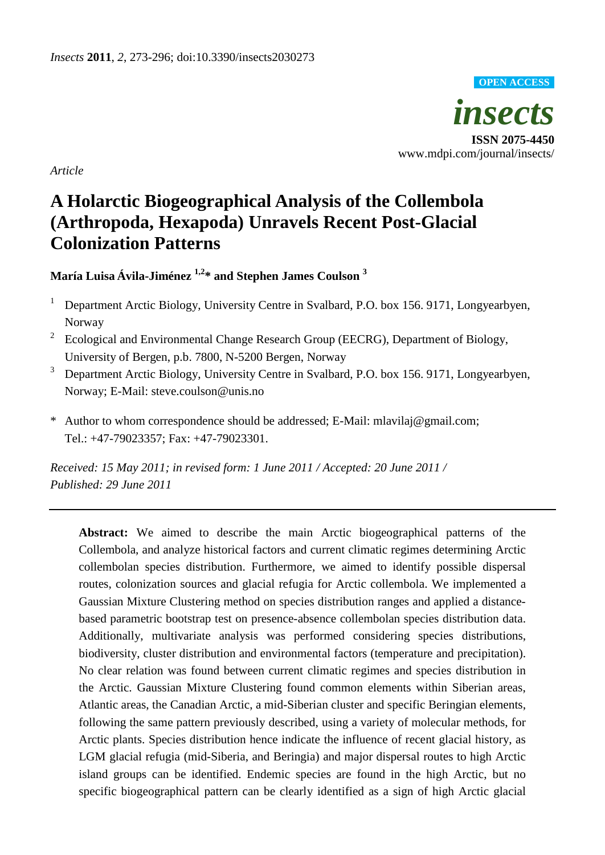

*Article*

# **A Holarctic Biogeographical Analysis of the Collembola (Arthropoda, Hexapoda) Unravels Recent Post-Glacial Colonization Patterns**

**María Luisa Ávila-Jiménez 1,2 \* and Stephen James Coulson <sup>3</sup>**

- <sup>1</sup> Department Arctic Biology, University Centre in Svalbard, P.O. box 156. 9171, Longyearbyen, Norway
- 2 Ecological and Environmental Change Research Group (EECRG), Department of Biology, University of Bergen, p.b. 7800, N-5200 Bergen, Norway
- <sup>3</sup> Department Arctic Biology, University Centre in Svalbard, P.O. box 156. 9171, Longyearbyen, Norway; E-Mail: steve.coulson@unis.no
- \* Author to whom correspondence should be addressed; E-Mail: mlavilaj@gmail.com; Tel.: +47-79023357; Fax: +47-79023301.

*Received: 15 May 2011; in revised form: 1 June 2011 / Accepted: 20 June 2011 / Published: 29 June 2011*

**Abstract:** We aimed to describe the main Arctic biogeographical patterns of the Collembola, and analyze historical factors and current climatic regimes determining Arctic collembolan species distribution. Furthermore, we aimed to identify possible dispersal routes, colonization sources and glacial refugia for Arctic collembola. We implemented a Gaussian Mixture Clustering method on species distribution ranges and applied a distancebased parametric bootstrap test on presence-absence collembolan species distribution data. Additionally, multivariate analysis was performed considering species distributions, biodiversity, cluster distribution and environmental factors (temperature and precipitation). No clear relation was found between current climatic regimes and species distribution in the Arctic. Gaussian Mixture Clustering found common elements within Siberian areas, Atlantic areas, the Canadian Arctic, a mid-Siberian cluster and specific Beringian elements, following the same pattern previously described, using a variety of molecular methods, for Arctic plants. Species distribution hence indicate the influence of recent glacial history, as LGM glacial refugia (mid-Siberia, and Beringia) and major dispersal routes to high Arctic island groups can be identified. Endemic species are found in the high Arctic, but no specific biogeographical pattern can be clearly identified as a sign of high Arctic glacial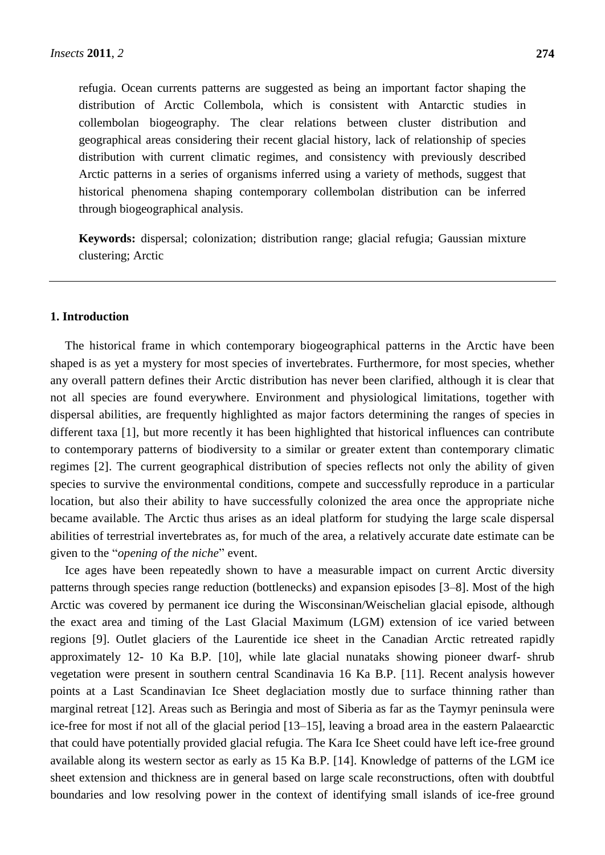refugia. Ocean currents patterns are suggested as being an important factor shaping the distribution of Arctic Collembola, which is consistent with Antarctic studies in collembolan biogeography. The clear relations between cluster distribution and geographical areas considering their recent glacial history, lack of relationship of species distribution with current climatic regimes, and consistency with previously described Arctic patterns in a series of organisms inferred using a variety of methods, suggest that historical phenomena shaping contemporary collembolan distribution can be inferred through biogeographical analysis.

**Keywords:** dispersal; colonization; distribution range; glacial refugia; Gaussian mixture clustering; Arctic

## **1. Introduction**

The historical frame in which contemporary biogeographical patterns in the Arctic have been shaped is as yet a mystery for most species of invertebrates. Furthermore, for most species, whether any overall pattern defines their Arctic distribution has never been clarified, although it is clear that not all species are found everywhere. Environment and physiological limitations, together with dispersal abilities, are frequently highlighted as major factors determining the ranges of species in different taxa [1], but more recently it has been highlighted that historical influences can contribute to contemporary patterns of biodiversity to a similar or greater extent than contemporary climatic regimes [2]. The current geographical distribution of species reflects not only the ability of given species to survive the environmental conditions, compete and successfully reproduce in a particular location, but also their ability to have successfully colonized the area once the appropriate niche became available. The Arctic thus arises as an ideal platform for studying the large scale dispersal abilities of terrestrial invertebrates as, for much of the area, a relatively accurate date estimate can be given to the "*opening of the niche*" event.

Ice ages have been repeatedly shown to have a measurable impact on current Arctic diversity patterns through species range reduction (bottlenecks) and expansion episodes [3–8]. Most of the high Arctic was covered by permanent ice during the Wisconsinan/Weischelian glacial episode, although the exact area and timing of the Last Glacial Maximum (LGM) extension of ice varied between regions [9]. Outlet glaciers of the Laurentide ice sheet in the Canadian Arctic retreated rapidly approximately 12- 10 Ka B.P. [10], while late glacial nunataks showing pioneer dwarf- shrub vegetation were present in southern central Scandinavia 16 Ka B.P. [11]. Recent analysis however points at a Last Scandinavian Ice Sheet deglaciation mostly due to surface thinning rather than marginal retreat [12]. Areas such as Beringia and most of Siberia as far as the Taymyr peninsula were ice-free for most if not all of the glacial period [13–15], leaving a broad area in the eastern Palaearctic that could have potentially provided glacial refugia. The Kara Ice Sheet could have left ice-free ground available along its western sector as early as 15 Ka B.P. [14]. Knowledge of patterns of the LGM ice sheet extension and thickness are in general based on large scale reconstructions, often with doubtful boundaries and low resolving power in the context of identifying small islands of ice-free ground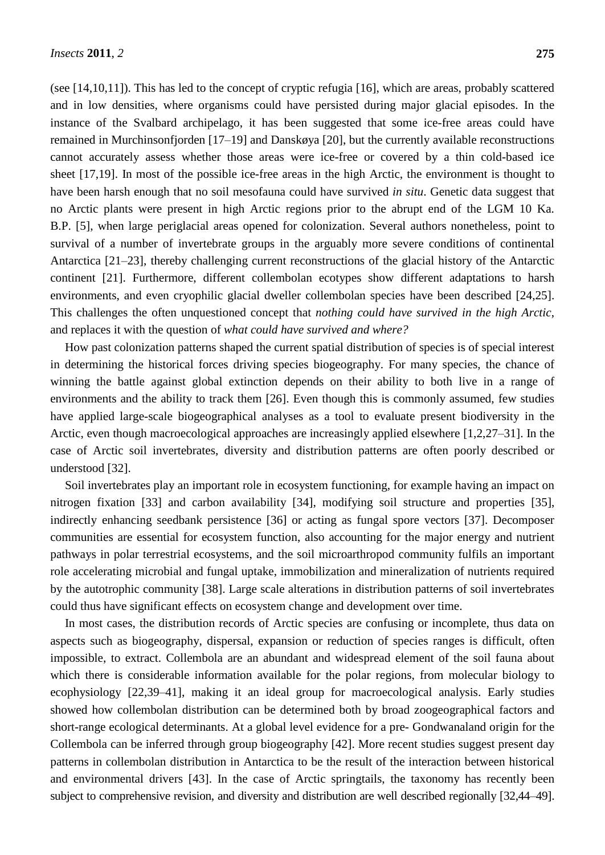(see [14,10,11]). This has led to the concept of cryptic refugia [16], which are areas, probably scattered and in low densities, where organisms could have persisted during major glacial episodes. In the instance of the Svalbard archipelago, it has been suggested that some ice-free areas could have remained in Murchinsonfjorden [17–19] and Danskøya [20], but the currently available reconstructions cannot accurately assess whether those areas were ice-free or covered by a thin cold-based ice sheet [17,19]. In most of the possible ice-free areas in the high Arctic, the environment is thought to have been harsh enough that no soil mesofauna could have survived *in situ*. Genetic data suggest that no Arctic plants were present in high Arctic regions prior to the abrupt end of the LGM 10 Ka. B.P. [5], when large periglacial areas opened for colonization. Several authors nonetheless, point to survival of a number of invertebrate groups in the arguably more severe conditions of continental Antarctica [21–23], thereby challenging current reconstructions of the glacial history of the Antarctic continent [21]. Furthermore, different collembolan ecotypes show different adaptations to harsh environments, and even cryophilic glacial dweller collembolan species have been described [24,25]. This challenges the often unquestioned concept that *nothing could have survived in the high Arctic*, and replaces it with the question of *what could have survived and where?*

How past colonization patterns shaped the current spatial distribution of species is of special interest in determining the historical forces driving species biogeography. For many species, the chance of winning the battle against global extinction depends on their ability to both live in a range of environments and the ability to track them [26]. Even though this is commonly assumed, few studies have applied large-scale biogeographical analyses as a tool to evaluate present biodiversity in the Arctic, even though macroecological approaches are increasingly applied elsewhere [1,2,27–31]. In the case of Arctic soil invertebrates, diversity and distribution patterns are often poorly described or understood [32].

Soil invertebrates play an important role in ecosystem functioning, for example having an impact on nitrogen fixation [33] and carbon availability [34], modifying soil structure and properties [35], indirectly enhancing seedbank persistence [36] or acting as fungal spore vectors [37]. Decomposer communities are essential for ecosystem function, also accounting for the major energy and nutrient pathways in polar terrestrial ecosystems, and the soil microarthropod community fulfils an important role accelerating microbial and fungal uptake, immobilization and mineralization of nutrients required by the autotrophic community [38]. Large scale alterations in distribution patterns of soil invertebrates could thus have significant effects on ecosystem change and development over time.

In most cases, the distribution records of Arctic species are confusing or incomplete, thus data on aspects such as biogeography, dispersal, expansion or reduction of species ranges is difficult, often impossible, to extract. Collembola are an abundant and widespread element of the soil fauna about which there is considerable information available for the polar regions, from molecular biology to ecophysiology [22,39–41], making it an ideal group for macroecological analysis. Early studies showed how collembolan distribution can be determined both by broad zoogeographical factors and short-range ecological determinants. At a global level evidence for a pre- Gondwanaland origin for the Collembola can be inferred through group biogeography [42]. More recent studies suggest present day patterns in collembolan distribution in Antarctica to be the result of the interaction between historical and environmental drivers [43]. In the case of Arctic springtails, the taxonomy has recently been subject to comprehensive revision, and diversity and distribution are well described regionally [32,44–49].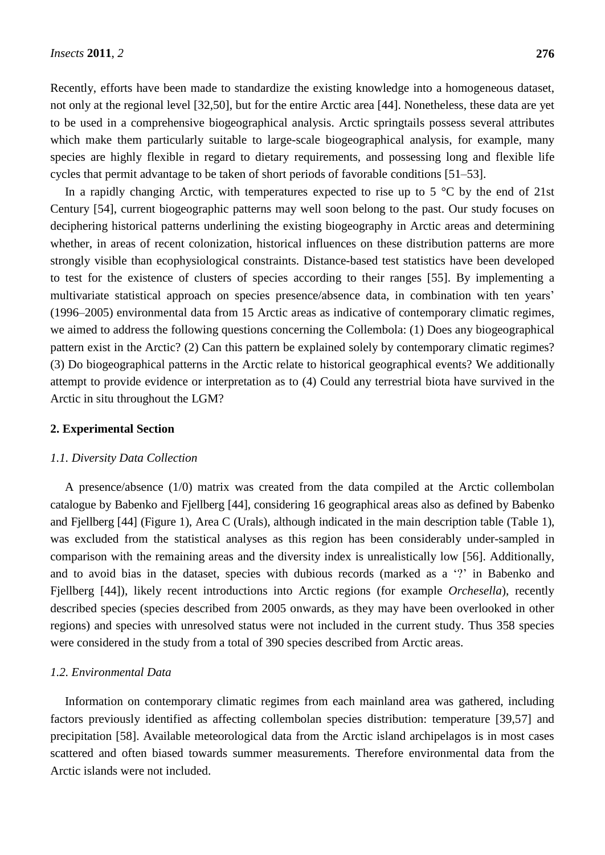Recently, efforts have been made to standardize the existing knowledge into a homogeneous dataset, not only at the regional level [32,50], but for the entire Arctic area [44]. Nonetheless, these data are yet to be used in a comprehensive biogeographical analysis. Arctic springtails possess several attributes which make them particularly suitable to large-scale biogeographical analysis, for example, many species are highly flexible in regard to dietary requirements, and possessing long and flexible life cycles that permit advantage to be taken of short periods of favorable conditions [51–53].

In a rapidly changing Arctic, with temperatures expected to rise up to 5  $\degree$  C by the end of 21st Century [54], current biogeographic patterns may well soon belong to the past. Our study focuses on deciphering historical patterns underlining the existing biogeography in Arctic areas and determining whether, in areas of recent colonization, historical influences on these distribution patterns are more strongly visible than ecophysiological constraints. Distance-based test statistics have been developed to test for the existence of clusters of species according to their ranges [55]. By implementing a multivariate statistical approach on species presence/absence data, in combination with ten years' (1996–2005) environmental data from 15 Arctic areas as indicative of contemporary climatic regimes, we aimed to address the following questions concerning the Collembola: (1) Does any biogeographical pattern exist in the Arctic? (2) Can this pattern be explained solely by contemporary climatic regimes? (3) Do biogeographical patterns in the Arctic relate to historical geographical events? We additionally attempt to provide evidence or interpretation as to (4) Could any terrestrial biota have survived in the Arctic in situ throughout the LGM?

# **2. Experimental Section**

#### *1.1. Diversity Data Collection*

A presence/absence (1/0) matrix was created from the data compiled at the Arctic collembolan catalogue by Babenko and Fjellberg [44], considering 16 geographical areas also as defined by Babenko and Fjellberg [44] (Figure 1), Area C (Urals), although indicated in the main description table (Table 1), was excluded from the statistical analyses as this region has been considerably under-sampled in comparison with the remaining areas and the diversity index is unrealistically low [56]. Additionally, and to avoid bias in the dataset, species with dubious records (marked as a  $\gamma$  in Babenko and Fjellberg [44]), likely recent introductions into Arctic regions (for example *Orchesella*), recently described species (species described from 2005 onwards, as they may have been overlooked in other regions) and species with unresolved status were not included in the current study. Thus 358 species were considered in the study from a total of 390 species described from Arctic areas.

## *1.2. Environmental Data*

Information on contemporary climatic regimes from each mainland area was gathered, including factors previously identified as affecting collembolan species distribution: temperature [39,57] and precipitation [58]. Available meteorological data from the Arctic island archipelagos is in most cases scattered and often biased towards summer measurements. Therefore environmental data from the Arctic islands were not included.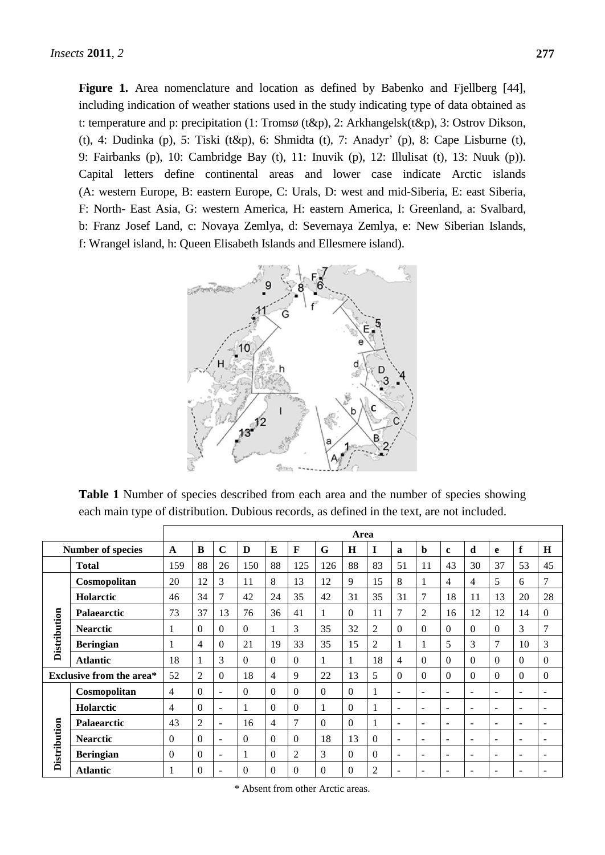**Figure 1.** Area nomenclature and location as defined by Babenko and Fjellberg [44], including indication of weather stations used in the study indicating type of data obtained as t: temperature and p: precipitation (1: Troms ø(t&p), 2: Arkhangelsk(t&p), 3: Ostrov Dikson, (t), 4: Dudinka (p), 5: Tiski (t&p), 6: Shmidta (t), 7: Anadyr' (p), 8: Cape Lisburne (t), 9: Fairbanks (p), 10: Cambridge Bay (t), 11: Inuvik (p), 12: Illulisat (t), 13: Nuuk (p)). Capital letters define continental areas and lower case indicate Arctic islands (A: western Europe, B: eastern Europe, C: Urals, D: west and mid-Siberia, E: east Siberia, F: North- East Asia, G: western America, H: eastern America, I: Greenland, a: Svalbard, b: Franz Josef Land, c: Novaya Zemlya, d: Severnaya Zemlya, e: New Siberian Islands, f: Wrangel island, h: Queen Elisabeth Islands and Ellesmere island).



**Table 1** Number of species described from each area and the number of species showing each main type of distribution. Dubious records, as defined in the text, are not included.

|                     |                                 |                |                |                          |          |          |                |          | Area         |          |                          |                          |                          |                          |                          |                          |                          |
|---------------------|---------------------------------|----------------|----------------|--------------------------|----------|----------|----------------|----------|--------------|----------|--------------------------|--------------------------|--------------------------|--------------------------|--------------------------|--------------------------|--------------------------|
|                     | <b>Number of species</b>        | $\mathbf{A}$   | B              | $\mathbf C$              | D        | E        | $\mathbf{F}$   | G        | H            | I        | $\mathbf a$              | b                        | $\mathbf c$              | d                        | e                        | f                        | H                        |
|                     | <b>Total</b>                    | 159            | 88             | 26                       | 150      | 88       | 125            | 126      | 88           | 83       | 51                       | 11                       | 43                       | 30                       | 37                       | 53                       | 45                       |
|                     | Cosmopolitan                    | 20             | 12             | 3                        | 11       | 8        | 13             | 12       | 9            | 15       | 8                        |                          | 4                        | 4                        | 5                        | 6                        | 7                        |
|                     | <b>Holarctic</b>                | 46             | 34             | 7                        | 42       | 24       | 35             | 42       | 31           | 35       | 31                       | 7                        | 18                       | 11                       | 13                       | 20                       | 28                       |
|                     | <b>Palaearctic</b>              | 73             | 37             | 13                       | 76       | 36       | 41             | 1        | $\Omega$     | 11       | 7                        | $\overline{2}$           | 16                       | 12                       | 12                       | 14                       | $\Omega$                 |
| <b>Distribution</b> | <b>Nearctic</b>                 | 1              | $\Omega$       | $\Omega$                 | $\Omega$ | 1        | 3              | 35       | 32           | 2        | $\Omega$                 | 0                        | $\Omega$                 | $\overline{0}$           | $\Omega$                 | 3                        | 7                        |
|                     | <b>Beringian</b>                |                | 4              | $\Omega$                 | 21       | 19       | 33             | 35       | 15           | 2        |                          |                          | 5                        | 3                        | 7                        | 10                       | 3                        |
|                     | <b>Atlantic</b>                 | 18             | 1              | 3                        | $\Omega$ | $\Omega$ | $\Omega$       | 1        | $\mathbf{1}$ | 18       | 4                        | 0                        | $\theta$                 | $\Omega$                 | $\Omega$                 | $\Omega$                 | $\Omega$                 |
|                     | <b>Exclusive from the area*</b> | 52             | $\overline{2}$ | $\Omega$                 | 18       | 4        | 9              | 22       | 13           | 5        | $\Omega$                 | $\Omega$                 | $\Omega$                 | $\Omega$                 | $\Omega$                 | $\Omega$                 | $\theta$                 |
|                     | Cosmopolitan                    | $\overline{4}$ | $\Omega$       | $\sim$                   | $\Omega$ | $\Omega$ | $\theta$       | $\Omega$ | $\Omega$     |          | $\overline{\phantom{a}}$ | $\overline{\phantom{a}}$ | $\overline{\phantom{a}}$ | $\overline{\phantom{a}}$ | ٠                        | $\overline{\phantom{0}}$ | $\overline{\phantom{0}}$ |
|                     | <b>Holarctic</b>                | $\overline{4}$ | $\theta$       | $\overline{\phantom{a}}$ |          | $\Omega$ | $\Omega$       | 1        | $\theta$     |          | $\overline{\phantom{a}}$ | $\overline{\phantom{a}}$ | $\overline{\phantom{a}}$ | $\overline{\phantom{a}}$ | ٠                        | ٠                        | ٠                        |
|                     | Palaearctic                     | 43             | 2              | $\overline{\phantom{a}}$ | 16       | 4        | $\overline{7}$ | $\Omega$ | $\Omega$     |          | ÷                        | ÷                        | $\overline{\phantom{a}}$ | $\overline{\phantom{a}}$ | $\overline{\phantom{a}}$ | $\overline{\phantom{a}}$ | $\overline{\phantom{a}}$ |
| <b>Distribution</b> | <b>Nearctic</b>                 | $\Omega$       | $\theta$       | $\overline{\phantom{0}}$ | $\Omega$ | $\Omega$ | $\theta$       | 18       | 13           | $\theta$ | $\overline{\phantom{a}}$ | $\overline{\phantom{0}}$ | $\overline{\phantom{a}}$ | $\overline{\phantom{a}}$ | $\overline{\phantom{0}}$ | $\overline{\phantom{0}}$ | $\overline{\phantom{0}}$ |
|                     | <b>Beringian</b>                | $\Omega$       | $\Omega$       | ٠                        |          | $\Omega$ | $\overline{2}$ | 3        | $\theta$     | $\Omega$ | $\overline{\phantom{a}}$ | ٠                        | -                        | $\overline{\phantom{0}}$ | $\overline{\phantom{0}}$ | $\overline{\phantom{0}}$ | -                        |
|                     | <b>Atlantic</b>                 |                | $\Omega$       | $\overline{\phantom{a}}$ | $\Omega$ | $\Omega$ | $\Omega$       | $\Omega$ | $\theta$     | 2        | $\overline{\phantom{a}}$ | $\overline{\phantom{a}}$ | $\overline{\phantom{a}}$ | $\overline{\phantom{a}}$ | $\overline{\phantom{a}}$ | $\overline{\phantom{a}}$ |                          |

\* Absent from other Arctic areas.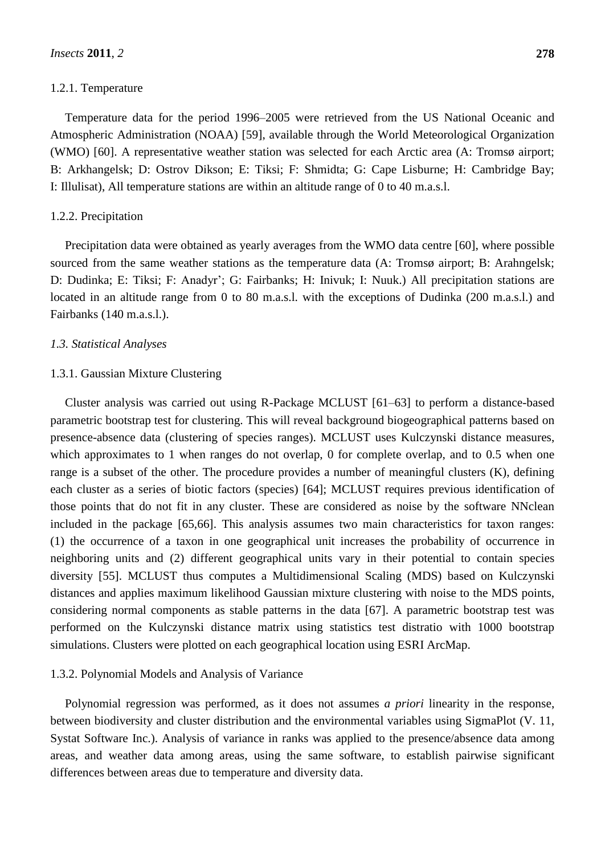#### 1.2.1. Temperature

Temperature data for the period 1996–2005 were retrieved from the US National Oceanic and Atmospheric Administration (NOAA) [59], available through the World Meteorological Organization (WMO) [60]. A representative weather station was selected for each Arctic area (A: Troms  $\phi$  airport; B: Arkhangelsk; D: Ostrov Dikson; E: Tiksi; F: Shmidta; G: Cape Lisburne; H: Cambridge Bay; I: Illulisat), All temperature stations are within an altitude range of 0 to 40 m.a.s.l.

#### 1.2.2. Precipitation

Precipitation data were obtained as yearly averages from the WMO data centre [60], where possible sourced from the same weather stations as the temperature data (A: Troms  $\phi$  airport; B: Arahngelsk; D: Dudinka; E: Tiksi; F: Anadyr'; G: Fairbanks; H: Inivuk; I: Nuuk.) All precipitation stations are located in an altitude range from 0 to 80 m.a.s.l. with the exceptions of Dudinka (200 m.a.s.l.) and Fairbanks (140 m.a.s.l.).

#### *1.3. Statistical Analyses*

#### 1.3.1. Gaussian Mixture Clustering

Cluster analysis was carried out using R-Package MCLUST [61–63] to perform a distance-based parametric bootstrap test for clustering. This will reveal background biogeographical patterns based on presence-absence data (clustering of species ranges). MCLUST uses Kulczynski distance measures, which approximates to 1 when ranges do not overlap, 0 for complete overlap, and to 0.5 when one range is a subset of the other. The procedure provides a number of meaningful clusters (K), defining each cluster as a series of biotic factors (species) [64]; MCLUST requires previous identification of those points that do not fit in any cluster. These are considered as noise by the software NNclean included in the package [65,66]. This analysis assumes two main characteristics for taxon ranges: (1) the occurrence of a taxon in one geographical unit increases the probability of occurrence in neighboring units and (2) different geographical units vary in their potential to contain species diversity [55]. MCLUST thus computes a Multidimensional Scaling (MDS) based on Kulczynski distances and applies maximum likelihood Gaussian mixture clustering with noise to the MDS points, considering normal components as stable patterns in the data [67]. A parametric bootstrap test was performed on the Kulczynski distance matrix using statistics test distratio with 1000 bootstrap simulations. Clusters were plotted on each geographical location using ESRI ArcMap.

#### 1.3.2. Polynomial Models and Analysis of Variance

Polynomial regression was performed, as it does not assumes *a priori* linearity in the response, between biodiversity and cluster distribution and the environmental variables using SigmaPlot (V. 11, Systat Software Inc.). Analysis of variance in ranks was applied to the presence/absence data among areas, and weather data among areas, using the same software, to establish pairwise significant differences between areas due to temperature and diversity data.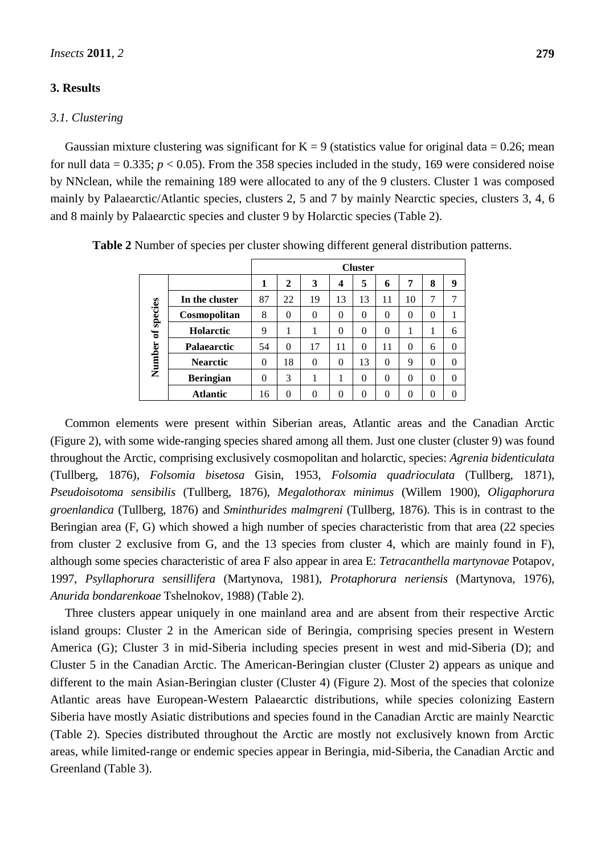## **3. Results**

#### *3.1. Clustering*

Gaussian mixture clustering was significant for  $K = 9$  (statistics value for original data = 0.26; mean for null data =  $0.335$ ;  $p < 0.05$ ). From the 358 species included in the study, 169 were considered noise by NNclean, while the remaining 189 were allocated to any of the 9 clusters. Cluster 1 was composed mainly by Palaearctic/Atlantic species, clusters 2, 5 and 7 by mainly Nearctic species, clusters 3, 4, 6 and 8 mainly by Palaearctic species and cluster 9 by Holarctic species (Table 2).

|            |                       |    |          |          |          | <b>Cluster</b> |          |          |          |          |
|------------|-----------------------|----|----------|----------|----------|----------------|----------|----------|----------|----------|
|            |                       | 1  | 2        | 3        | 4        | 5              | 6        | 7        | 8        | 9        |
|            | In the cluster        | 87 | 22       | 19       | 13       | 13             | 11       | 10       | 7        |          |
| of species | Cosmopolitan          | 8  | $\theta$ | $\theta$ | $\theta$ | $\theta$       | $\theta$ | $\theta$ | 0        |          |
|            | <b>Holarctic</b>      | 9  | 1        |          | $\theta$ | $\theta$       | $\theta$ | 1        |          | 6        |
|            | Palaearctic           | 54 | $\Omega$ | 17       | 11       | $\Omega$       | 11       | $\theta$ | 6        | $\Omega$ |
| Number     | <b>Nearctic</b>       | 0  | 18       | $\theta$ | $\theta$ | 13             | $\theta$ | 9        | 0        | $\theta$ |
|            | <b>Beringian</b><br>0 |    | 3        |          |          | $\Omega$       | $\theta$ | $\theta$ | 0        | $\theta$ |
|            | <b>Atlantic</b>       | 16 | $\theta$ | $\theta$ | $\theta$ | 0              | $\theta$ | $\theta$ | $\theta$ | 0        |

**Table 2** Number of species per cluster showing different general distribution patterns.

Common elements were present within Siberian areas, Atlantic areas and the Canadian Arctic (Figure 2), with some wide-ranging species shared among all them. Just one cluster (cluster 9) was found throughout the Arctic, comprising exclusively cosmopolitan and holarctic, species: *Agrenia bidenticulata* (Tullberg, 1876), *Folsomia bisetosa* Gisin, 1953, *Folsomia quadrioculata* (Tullberg, 1871), *Pseudoisotoma sensibilis* (Tullberg, 1876), *Megalothorax minimus* (Willem 1900), *Oligaphorura groenlandica* (Tullberg, 1876) and *Sminthurides malmgreni* (Tullberg, 1876). This is in contrast to the Beringian area (F, G) which showed a high number of species characteristic from that area (22 species from cluster 2 exclusive from G, and the 13 species from cluster 4, which are mainly found in F), although some species characteristic of area F also appear in area E: *Tetracanthella martynovae* Potapov, 1997, *Psyllaphorura sensillifera* (Martynova, 1981), *Protaphorura neriensis* (Martynova, 1976), *Anurida bondarenkoae* Tshelnokov, 1988) (Table 2).

Three clusters appear uniquely in one mainland area and are absent from their respective Arctic island groups: Cluster 2 in the American side of Beringia, comprising species present in Western America (G); Cluster 3 in mid-Siberia including species present in west and mid-Siberia (D); and Cluster 5 in the Canadian Arctic. The American-Beringian cluster (Cluster 2) appears as unique and different to the main Asian-Beringian cluster (Cluster 4) (Figure 2). Most of the species that colonize Atlantic areas have European-Western Palaearctic distributions, while species colonizing Eastern Siberia have mostly Asiatic distributions and species found in the Canadian Arctic are mainly Nearctic (Table 2). Species distributed throughout the Arctic are mostly not exclusively known from Arctic areas, while limited-range or endemic species appear in Beringia, mid-Siberia, the Canadian Arctic and Greenland (Table 3).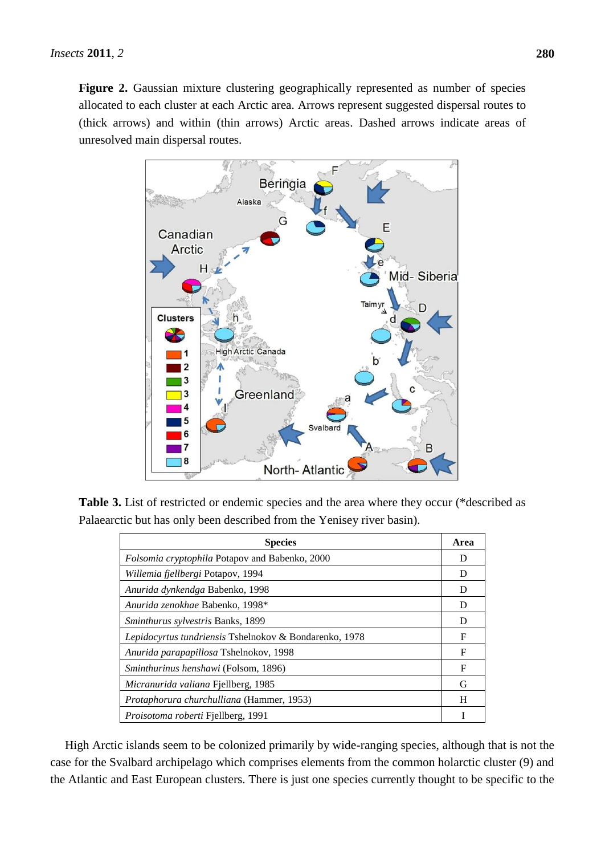**Figure 2.** Gaussian mixture clustering geographically represented as number of species allocated to each cluster at each Arctic area. Arrows represent suggested dispersal routes to (thick arrows) and within (thin arrows) Arctic areas. Dashed arrows indicate areas of unresolved main dispersal routes.



**Table 3.** List of restricted or endemic species and the area where they occur (\*described as Palaearctic but has only been described from the Yenisey river basin).

| <b>Species</b>                                         | Area |
|--------------------------------------------------------|------|
| Folsomia cryptophila Potapov and Babenko, 2000         | D    |
| Willemia fjellbergi Potapov, 1994                      | D    |
| Anurida dynkendga Babenko, 1998                        | D    |
| Anurida zenokhae Babenko, 1998*                        | D    |
| <i>Sminthurus sylvestris Banks, 1899</i>               | D    |
| Lepidocyrtus tundriensis Tshelnokov & Bondarenko, 1978 | F    |
| Anurida parapapillosa Tshelnokov, 1998                 | F    |
| <i>Sminthurinus henshawi</i> (Folsom, 1896)            | F    |
| Micranurida valiana Fjellberg, 1985                    | G    |
| Protaphorura churchulliana (Hammer, 1953)              | H    |
| Proisotoma roberti Fjellberg, 1991                     |      |

High Arctic islands seem to be colonized primarily by wide-ranging species, although that is not the case for the Svalbard archipelago which comprises elements from the common holarctic cluster (9) and the Atlantic and East European clusters. There is just one species currently thought to be specific to the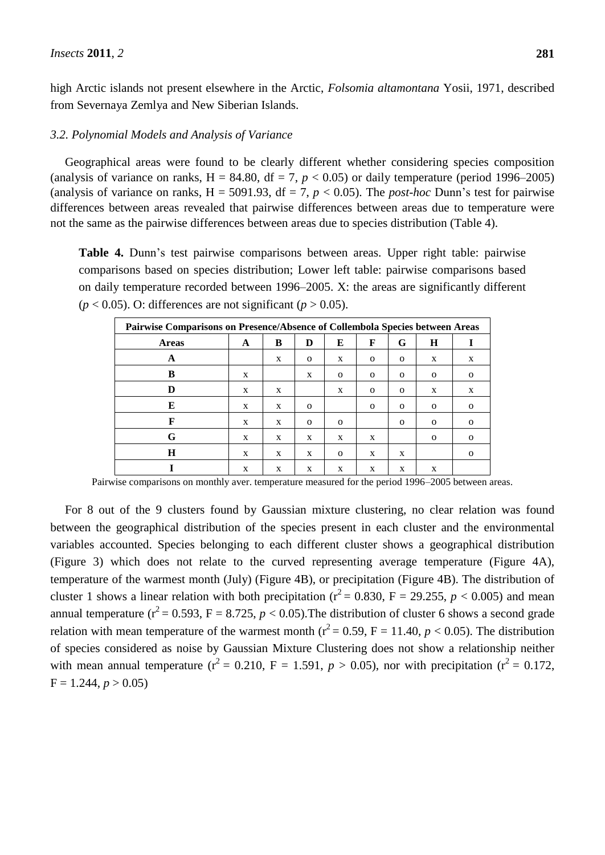high Arctic islands not present elsewhere in the Arctic, *Folsomia altamontana* Yosii, 1971, described from Severnaya Zemlya and New Siberian Islands.

## *3.2. Polynomial Models and Analysis of Variance*

Geographical areas were found to be clearly different whether considering species composition (analysis of variance on ranks,  $H = 84.80$ ,  $df = 7$ ,  $p < 0.05$ ) or daily temperature (period 1996–2005) (analysis of variance on ranks,  $H = 5091.93$ ,  $df = 7$ ,  $p < 0.05$ ). The *post-hoc* Dunn's test for pairwise differences between areas revealed that pairwise differences between areas due to temperature were not the same as the pairwise differences between areas due to species distribution (Table 4).

**Table 4.** Dunn's test pairwise comparisons between areas. Upper right table: pairwise comparisons based on species distribution; Lower left table: pairwise comparisons based on daily temperature recorded between 1996–2005. X: the areas are significantly different  $(p < 0.05)$ . O: differences are not significant  $(p > 0.05)$ .

| Pairwise Comparisons on Presence/Absence of Collembola Species between Areas |   |   |              |              |              |              |              |          |  |  |  |  |  |  |
|------------------------------------------------------------------------------|---|---|--------------|--------------|--------------|--------------|--------------|----------|--|--|--|--|--|--|
| <b>Areas</b>                                                                 | A | B | D            | E            | F            | G            | Н            |          |  |  |  |  |  |  |
| A                                                                            |   | X | $\mathbf 0$  | X            | $\mathbf{O}$ | $\mathbf{O}$ | X            | X        |  |  |  |  |  |  |
| B                                                                            | X |   | X            | $\mathbf{O}$ | $\mathbf{O}$ | $\Omega$     | $\mathbf{O}$ | $\Omega$ |  |  |  |  |  |  |
| D                                                                            | X | X |              | X            | $\mathbf{O}$ | $\mathbf{O}$ | X            | X        |  |  |  |  |  |  |
| E                                                                            | X | X | $\mathbf{O}$ |              | $\mathbf{O}$ | $\mathbf{O}$ | $\Omega$     | $\Omega$ |  |  |  |  |  |  |
| F                                                                            | X | X | $\mathbf{O}$ | $\Omega$     |              | $\Omega$     | $\mathbf{O}$ | $\Omega$ |  |  |  |  |  |  |
| G                                                                            | X | X | X            | X            | X            |              | $\mathbf{O}$ | $\Omega$ |  |  |  |  |  |  |
| H                                                                            | X | X | X            | $\Omega$     | X            | X            |              | $\Omega$ |  |  |  |  |  |  |
|                                                                              | X | X | X            | X            | X            | X            | X            |          |  |  |  |  |  |  |

Pairwise comparisons on monthly aver. temperature measured for the period 1996–2005 between areas.

For 8 out of the 9 clusters found by Gaussian mixture clustering, no clear relation was found between the geographical distribution of the species present in each cluster and the environmental variables accounted. Species belonging to each different cluster shows a geographical distribution (Figure 3) which does not relate to the curved representing average temperature (Figure 4A), temperature of the warmest month (July) (Figure 4B), or precipitation (Figure 4B). The distribution of cluster 1 shows a linear relation with both precipitation ( $r^2$  = 0.830, F = 29.255, *p* < 0.005) and mean annual temperature ( $r^2$  = 0.593, F = 8.725,  $p$  < 0.05). The distribution of cluster 6 shows a second grade relation with mean temperature of the warmest month ( $r^2$  = 0.59, F = 11.40, *p* < 0.05). The distribution of species considered as noise by Gaussian Mixture Clustering does not show a relationship neither with mean annual temperature ( $r^2 = 0.210$ , F = 1.591,  $p > 0.05$ ), nor with precipitation ( $r^2 = 0.172$ ,  $F = 1.244, p > 0.05$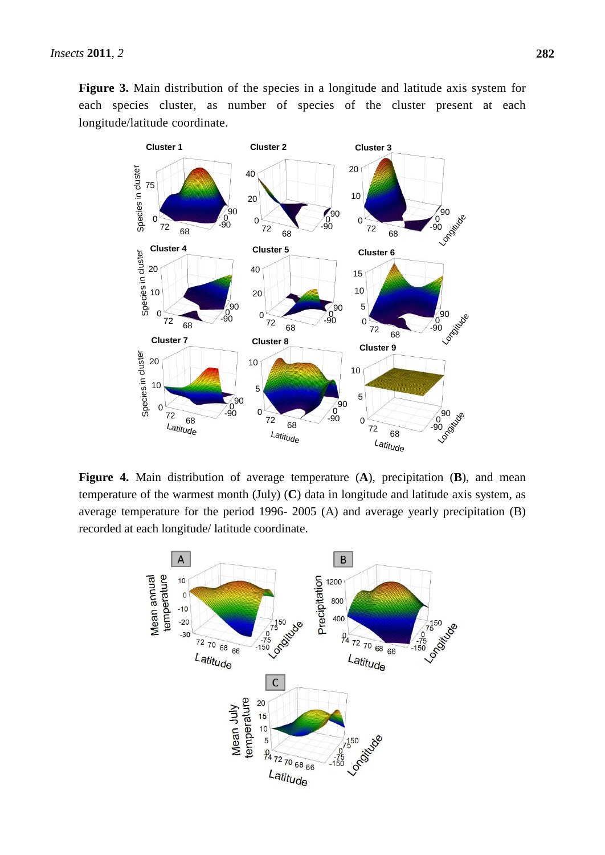**Figure 3.** Main distribution of the species in a longitude and latitude axis system for each species cluster, as number of species of the cluster present at each longitude/latitude coordinate.



**Figure 4.** Main distribution of average temperature (**A**), precipitation (**B**), and mean temperature of the warmest month (July) (**C**) data in longitude and latitude axis system, as average temperature for the period 1996- 2005 (A) and average yearly precipitation (B) recorded at each longitude/ latitude coordinate.

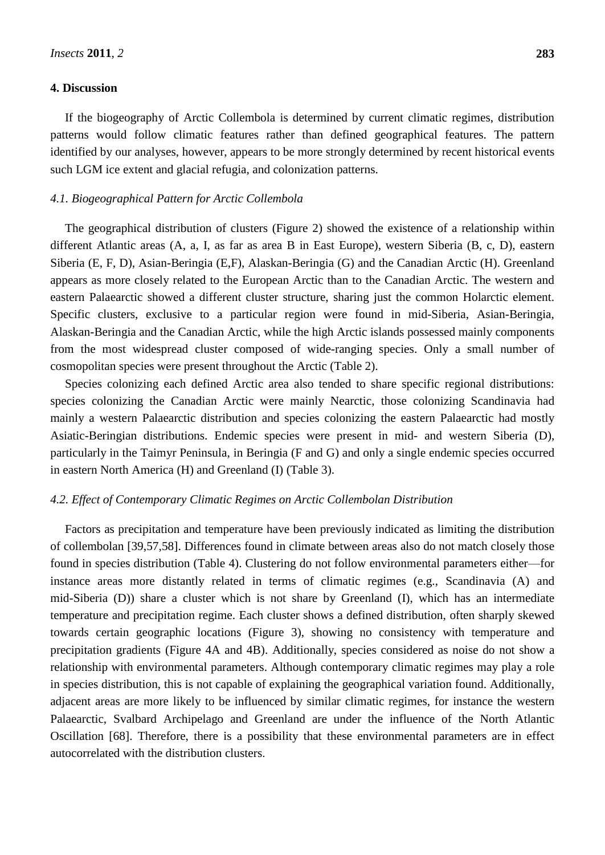## **4. Discussion**

If the biogeography of Arctic Collembola is determined by current climatic regimes, distribution patterns would follow climatic features rather than defined geographical features. The pattern identified by our analyses, however, appears to be more strongly determined by recent historical events such LGM ice extent and glacial refugia, and colonization patterns.

## *4.1. Biogeographical Pattern for Arctic Collembola*

The geographical distribution of clusters (Figure 2) showed the existence of a relationship within different Atlantic areas (A, a, I, as far as area B in East Europe), western Siberia (B, c, D), eastern Siberia (E, F, D), Asian-Beringia (E,F), Alaskan-Beringia (G) and the Canadian Arctic (H). Greenland appears as more closely related to the European Arctic than to the Canadian Arctic. The western and eastern Palaearctic showed a different cluster structure, sharing just the common Holarctic element. Specific clusters, exclusive to a particular region were found in mid-Siberia, Asian-Beringia, Alaskan-Beringia and the Canadian Arctic, while the high Arctic islands possessed mainly components from the most widespread cluster composed of wide-ranging species. Only a small number of cosmopolitan species were present throughout the Arctic (Table 2).

Species colonizing each defined Arctic area also tended to share specific regional distributions: species colonizing the Canadian Arctic were mainly Nearctic, those colonizing Scandinavia had mainly a western Palaearctic distribution and species colonizing the eastern Palaearctic had mostly Asiatic-Beringian distributions. Endemic species were present in mid- and western Siberia (D), particularly in the Taimyr Peninsula, in Beringia (F and G) and only a single endemic species occurred in eastern North America (H) and Greenland (I) (Table 3).

#### *4.2. Effect of Contemporary Climatic Regimes on Arctic Collembolan Distribution*

Factors as precipitation and temperature have been previously indicated as limiting the distribution of collembolan [39,57,58]. Differences found in climate between areas also do not match closely those found in species distribution (Table 4). Clustering do not follow environmental parameters either—for instance areas more distantly related in terms of climatic regimes (e.g., Scandinavia (A) and mid-Siberia (D)) share a cluster which is not share by Greenland (I), which has an intermediate temperature and precipitation regime. Each cluster shows a defined distribution, often sharply skewed towards certain geographic locations (Figure 3), showing no consistency with temperature and precipitation gradients (Figure 4A and 4B). Additionally, species considered as noise do not show a relationship with environmental parameters. Although contemporary climatic regimes may play a role in species distribution, this is not capable of explaining the geographical variation found. Additionally, adjacent areas are more likely to be influenced by similar climatic regimes, for instance the western Palaearctic, Svalbard Archipelago and Greenland are under the influence of the North Atlantic Oscillation [68]. Therefore, there is a possibility that these environmental parameters are in effect autocorrelated with the distribution clusters.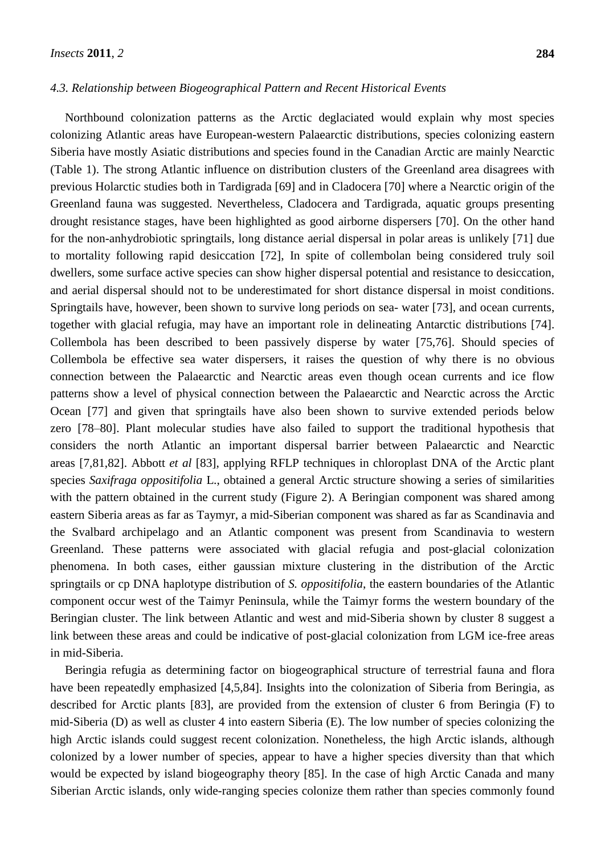## *4.3. Relationship between Biogeographical Pattern and Recent Historical Events*

Northbound colonization patterns as the Arctic deglaciated would explain why most species colonizing Atlantic areas have European-western Palaearctic distributions, species colonizing eastern Siberia have mostly Asiatic distributions and species found in the Canadian Arctic are mainly Nearctic (Table 1). The strong Atlantic influence on distribution clusters of the Greenland area disagrees with previous Holarctic studies both in Tardigrada [69] and in Cladocera [70] where a Nearctic origin of the Greenland fauna was suggested. Nevertheless, Cladocera and Tardigrada, aquatic groups presenting drought resistance stages, have been highlighted as good airborne dispersers [70]. On the other hand for the non-anhydrobiotic springtails, long distance aerial dispersal in polar areas is unlikely [71] due to mortality following rapid desiccation [72], In spite of collembolan being considered truly soil dwellers, some surface active species can show higher dispersal potential and resistance to desiccation, and aerial dispersal should not to be underestimated for short distance dispersal in moist conditions. Springtails have, however, been shown to survive long periods on sea- water [73], and ocean currents, together with glacial refugia, may have an important role in delineating Antarctic distributions [74]. Collembola has been described to been passively disperse by water [75,76]. Should species of Collembola be effective sea water dispersers, it raises the question of why there is no obvious connection between the Palaearctic and Nearctic areas even though ocean currents and ice flow patterns show a level of physical connection between the Palaearctic and Nearctic across the Arctic Ocean [77] and given that springtails have also been shown to survive extended periods below zero [78–80]. Plant molecular studies have also failed to support the traditional hypothesis that considers the north Atlantic an important dispersal barrier between Palaearctic and Nearctic areas [7,81,82]. Abbott *et al* [83], applying RFLP techniques in chloroplast DNA of the Arctic plant species *Saxifraga oppositifolia* L., obtained a general Arctic structure showing a series of similarities with the pattern obtained in the current study (Figure 2). A Beringian component was shared among eastern Siberia areas as far as Taymyr, a mid-Siberian component was shared as far as Scandinavia and the Svalbard archipelago and an Atlantic component was present from Scandinavia to western Greenland. These patterns were associated with glacial refugia and post-glacial colonization phenomena. In both cases, either gaussian mixture clustering in the distribution of the Arctic springtails or cp DNA haplotype distribution of *S. oppositifolia*, the eastern boundaries of the Atlantic component occur west of the Taimyr Peninsula, while the Taimyr forms the western boundary of the Beringian cluster. The link between Atlantic and west and mid-Siberia shown by cluster 8 suggest a link between these areas and could be indicative of post-glacial colonization from LGM ice-free areas in mid-Siberia.

Beringia refugia as determining factor on biogeographical structure of terrestrial fauna and flora have been repeatedly emphasized [4,5,84]. Insights into the colonization of Siberia from Beringia, as described for Arctic plants [83], are provided from the extension of cluster 6 from Beringia (F) to mid-Siberia (D) as well as cluster 4 into eastern Siberia (E). The low number of species colonizing the high Arctic islands could suggest recent colonization. Nonetheless, the high Arctic islands, although colonized by a lower number of species, appear to have a higher species diversity than that which would be expected by island biogeography theory [85]. In the case of high Arctic Canada and many Siberian Arctic islands, only wide-ranging species colonize them rather than species commonly found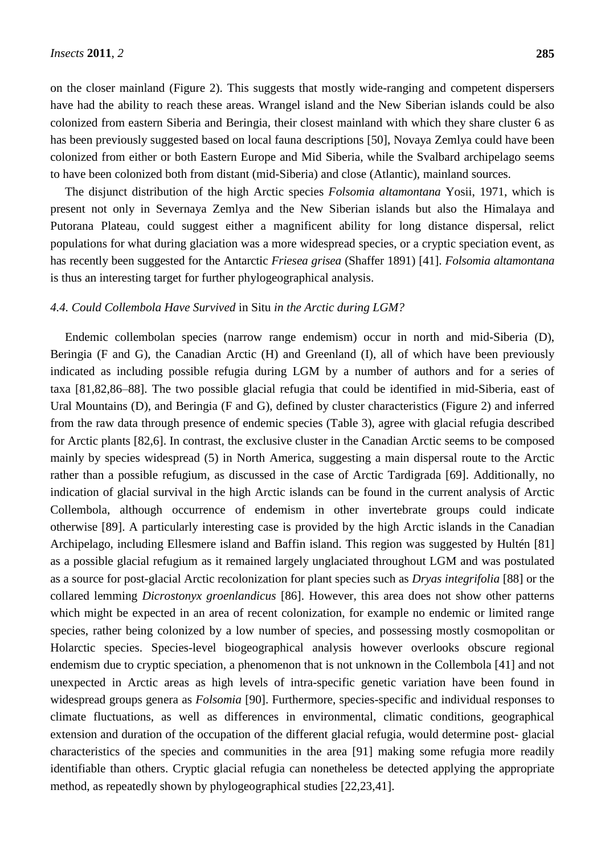on the closer mainland (Figure 2). This suggests that mostly wide-ranging and competent dispersers have had the ability to reach these areas. Wrangel island and the New Siberian islands could be also colonized from eastern Siberia and Beringia, their closest mainland with which they share cluster 6 as has been previously suggested based on local fauna descriptions [50], Novaya Zemlya could have been colonized from either or both Eastern Europe and Mid Siberia, while the Svalbard archipelago seems to have been colonized both from distant (mid-Siberia) and close (Atlantic), mainland sources.

The disjunct distribution of the high Arctic species *Folsomia altamontana* Yosii, 1971, which is present not only in Severnaya Zemlya and the New Siberian islands but also the Himalaya and Putorana Plateau, could suggest either a magnificent ability for long distance dispersal, relict populations for what during glaciation was a more widespread species, or a cryptic speciation event, as has recently been suggested for the Antarctic *Friesea grisea* (Shaffer 1891) [41]. *Folsomia altamontana* is thus an interesting target for further phylogeographical analysis.

#### *4.4. Could Collembola Have Survived* in Situ *in the Arctic during LGM?*

Endemic collembolan species (narrow range endemism) occur in north and mid-Siberia (D), Beringia (F and G), the Canadian Arctic (H) and Greenland (I), all of which have been previously indicated as including possible refugia during LGM by a number of authors and for a series of taxa [81,82,86–88]. The two possible glacial refugia that could be identified in mid-Siberia, east of Ural Mountains (D), and Beringia (F and G), defined by cluster characteristics (Figure 2) and inferred from the raw data through presence of endemic species (Table 3), agree with glacial refugia described for Arctic plants [82,6]. In contrast, the exclusive cluster in the Canadian Arctic seems to be composed mainly by species widespread (5) in North America, suggesting a main dispersal route to the Arctic rather than a possible refugium, as discussed in the case of Arctic Tardigrada [69]. Additionally, no indication of glacial survival in the high Arctic islands can be found in the current analysis of Arctic Collembola, although occurrence of endemism in other invertebrate groups could indicate otherwise [89]. A particularly interesting case is provided by the high Arctic islands in the Canadian Archipelago, including Ellesmere island and Baffin island. This region was suggested by Hultén [81] as a possible glacial refugium as it remained largely unglaciated throughout LGM and was postulated as a source for post-glacial Arctic recolonization for plant species such as *Dryas integrifolia* [88] or the collared lemming *Dicrostonyx groenlandicus* [86]. However, this area does not show other patterns which might be expected in an area of recent colonization, for example no endemic or limited range species, rather being colonized by a low number of species, and possessing mostly cosmopolitan or Holarctic species. Species-level biogeographical analysis however overlooks obscure regional endemism due to cryptic speciation, a phenomenon that is not unknown in the Collembola [41] and not unexpected in Arctic areas as high levels of intra-specific genetic variation have been found in widespread groups genera as *Folsomia* [90]. Furthermore, species-specific and individual responses to climate fluctuations, as well as differences in environmental, climatic conditions, geographical extension and duration of the occupation of the different glacial refugia, would determine post- glacial characteristics of the species and communities in the area [91] making some refugia more readily identifiable than others. Cryptic glacial refugia can nonetheless be detected applying the appropriate method, as repeatedly shown by phylogeographical studies [22,23,41].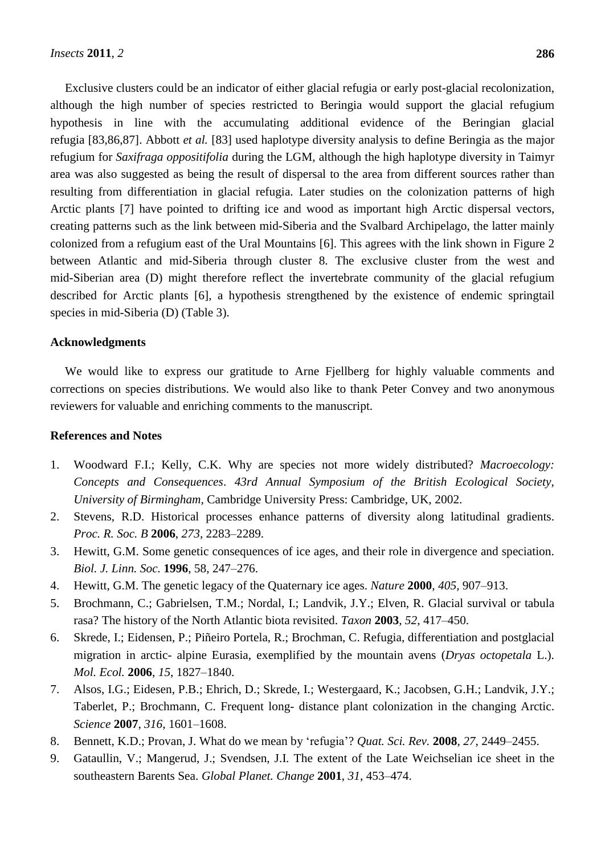Exclusive clusters could be an indicator of either glacial refugia or early post-glacial recolonization, although the high number of species restricted to Beringia would support the glacial refugium hypothesis in line with the accumulating additional evidence of the Beringian glacial refugia [83,86,87]. Abbott *et al.* [83] used haplotype diversity analysis to define Beringia as the major refugium for *Saxifraga oppositifolia* during the LGM, although the high haplotype diversity in Taimyr area was also suggested as being the result of dispersal to the area from different sources rather than resulting from differentiation in glacial refugia. Later studies on the colonization patterns of high Arctic plants [7] have pointed to drifting ice and wood as important high Arctic dispersal vectors, creating patterns such as the link between mid-Siberia and the Svalbard Archipelago, the latter mainly colonized from a refugium east of the Ural Mountains [6]. This agrees with the link shown in Figure 2 between Atlantic and mid-Siberia through cluster 8. The exclusive cluster from the west and mid-Siberian area (D) might therefore reflect the invertebrate community of the glacial refugium described for Arctic plants [6], a hypothesis strengthened by the existence of endemic springtail species in mid-Siberia (D) (Table 3).

## **Acknowledgments**

We would like to express our gratitude to Arne Fjellberg for highly valuable comments and corrections on species distributions. We would also like to thank Peter Convey and two anonymous reviewers for valuable and enriching comments to the manuscript.

#### **References and Notes**

- 1. Woodward F.I.; Kelly, C.K. Why are species not more widely distributed? *Macroecology: Concepts and Consequences*. *43rd Annual Symposium of the British Ecological Society*, *University of Birmingham*, Cambridge University Press: Cambridge, UK, 2002.
- 2. Stevens, R.D. Historical processes enhance patterns of diversity along latitudinal gradients. *Proc. R. Soc. B* **2006**, *273*, 2283–2289.
- 3. Hewitt, G.M. Some genetic consequences of ice ages, and their role in divergence and speciation. *Biol. J. Linn. Soc.* **1996**, 58, 247–276.
- 4. Hewitt, G.M. The genetic legacy of the Quaternary ice ages. *Nature* **2000**, *405*, 907–913.
- 5. Brochmann, C.; Gabrielsen, T.M.; Nordal, I.; Landvik, J.Y.; Elven, R. Glacial survival or tabula rasa? The history of the North Atlantic biota revisited. *Taxon* **2003**, *52*, 417–450.
- 6. Skrede, I.; Eidensen, P.; Piñeiro Portela, R.; Brochman, C. Refugia, differentiation and postglacial migration in arctic- alpine Eurasia, exemplified by the mountain avens (*Dryas octopetala* L.). *Mol. Ecol.* **2006**, *15*, 1827–1840.
- 7. Alsos, I.G.; Eidesen, P.B.; Ehrich, D.; Skrede, I.; Westergaard, K.; Jacobsen, G.H.; Landvik, J.Y.; Taberlet, P.; Brochmann, C. Frequent long- distance plant colonization in the changing Arctic. *Science* **2007**, *316*, 1601–1608.
- 8. Bennett, K.D.; Provan, J. What do we mean by ‗refugia'? *Quat. Sci. Rev.* **2008**, *27*, 2449–2455.
- 9. Gataullin, V.; Mangerud, J.; Svendsen, J.I. The extent of the Late Weichselian ice sheet in the southeastern Barents Sea. *Global Planet. Change* **2001**, *31*, 453–474.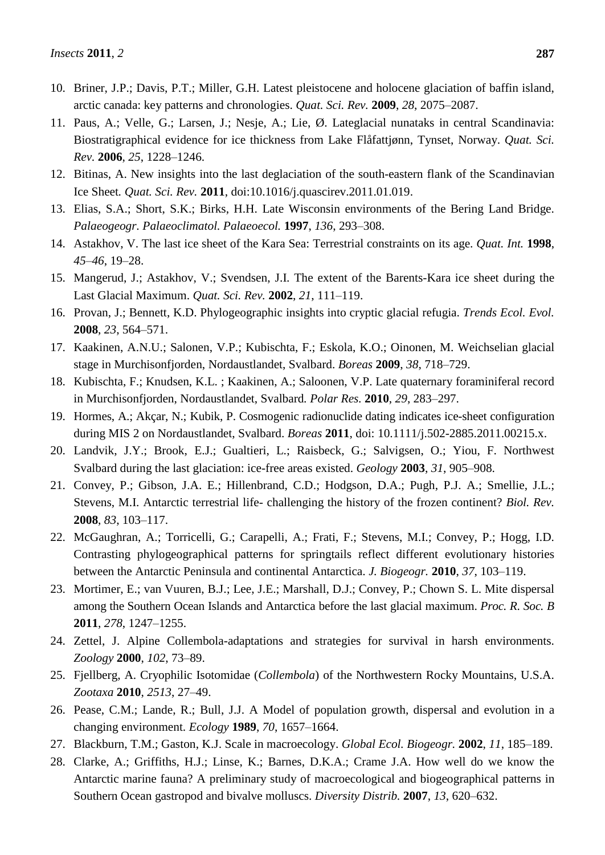- 10. Briner, J.P.; Davis, P.T.; Miller, G.H. Latest pleistocene and holocene glaciation of baffin island, arctic canada: key patterns and chronologies. *Quat. Sci. Rev.* **2009**, *28*, 2075–2087.
- 11. Paus, A.; Velle, G.; Larsen, J.; Nesje, A.; Lie, Ø. Lateglacial nunataks in central Scandinavia: Biostratigraphical evidence for ice thickness from Lake Flåfattjønn, Tynset, Norway. *Quat. Sci. Rev.* **2006**, *25*, 1228–1246.
- 12. Bitinas, A. New insights into the last deglaciation of the south-eastern flank of the Scandinavian Ice Sheet*. Quat. Sci. Rev.* **2011**, doi:10.1016/j.quascirev.2011.01.019.
- 13. Elias, S.A.; Short, S.K.; Birks, H.H. Late Wisconsin environments of the Bering Land Bridge. *Palaeogeogr. Palaeoclimatol. Palaeoecol.* **1997**, *136*, 293–308.
- 14. Astakhov, V. The last ice sheet of the Kara Sea: Terrestrial constraints on its age. *Quat. Int.* **1998**, *45–46*, 19–28.
- 15. Mangerud, J.; Astakhov, V.; Svendsen, J.I. The extent of the Barents-Kara ice sheet during the Last Glacial Maximum. *Quat. Sci. Rev.* **2002**, *21*, 111–119.
- 16. Provan, J.; Bennett, K.D. Phylogeographic insights into cryptic glacial refugia. *Trends Ecol. Evol.* **2008**, *23*, 564–571.
- 17. Kaakinen, A.N.U.; Salonen, V.P.; Kubischta, F.; Eskola, K.O.; Oinonen, M. Weichselian glacial stage in Murchisonfjorden, Nordaustlandet, Svalbard. *Boreas* **2009**, *38*, 718–729.
- 18. Kubischta, F.; Knudsen, K.L. ; Kaakinen, A.; Saloonen, V.P. Late quaternary foraminiferal record in Murchisonfjorden, Nordaustlandet, Svalbard*. Polar Res.* **2010**, *29*, 283–297.
- 19. Hormes, A.; Akçar, N.; Kubik, P. Cosmogenic radionuclide dating indicates ice-sheet configuration during MIS 2 on Nordaustlandet, Svalbard. *Boreas* **2011**, doi: 10.1111/j.502-2885.2011.00215.x.
- 20. Landvik, J.Y.; Brook, E.J.; Gualtieri, L.; Raisbeck, G.; Salvigsen, O.; Yiou, F. Northwest Svalbard during the last glaciation: ice-free areas existed. *Geology* **2003**, *31*, 905–908.
- 21. Convey, P.; Gibson, J.A. E.; Hillenbrand, C.D.; Hodgson, D.A.; Pugh, P.J. A.; Smellie, J.L.; Stevens, M.I. Antarctic terrestrial life- challenging the history of the frozen continent? *Biol. Rev.* **2008**, *83*, 103–117.
- 22. McGaughran, A.; Torricelli, G.; Carapelli, A.; Frati, F.; Stevens, M.I.; Convey, P.; Hogg, I.D. Contrasting phylogeographical patterns for springtails reflect different evolutionary histories between the Antarctic Peninsula and continental Antarctica. *J. Biogeogr.* **2010**, *37*, 103–119.
- 23. Mortimer, E.; van Vuuren, B.J.; Lee, J.E.; Marshall, D.J.; Convey, P.; Chown S. L. Mite dispersal among the Southern Ocean Islands and Antarctica before the last glacial maximum. *Proc. R. Soc. B* **2011**, *278*, 1247–1255.
- 24. Zettel, J. Alpine Collembola-adaptations and strategies for survival in harsh environments. *Zoology* **2000**, *102*, 73–89.
- 25. Fjellberg, A. Cryophilic Isotomidae (*Collembola*) of the Northwestern Rocky Mountains, U.S.A. *Zootaxa* **2010**, *2513*, 27–49.
- 26. Pease, C.M.; Lande, R.; Bull, J.J. A Model of population growth, dispersal and evolution in a changing environment. *Ecology* **1989**, *70*, 1657–1664.
- 27. Blackburn, T.M.; Gaston, K.J. Scale in macroecology. *Global Ecol. Biogeogr.* **2002**, *11*, 185–189.
- 28. Clarke, A.; Griffiths, H.J.; Linse, K.; Barnes, D.K.A.; Crame J.A. How well do we know the Antarctic marine fauna? A preliminary study of macroecological and biogeographical patterns in Southern Ocean gastropod and bivalve molluscs. *Diversity Distrib.* **2007**, *13*, 620–632.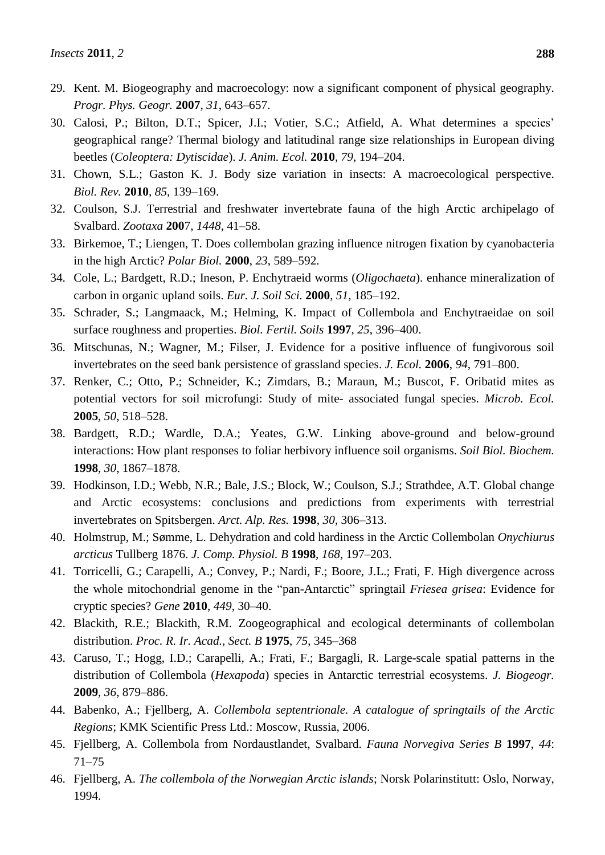- 29. Kent. M. Biogeography and macroecology: now a significant component of physical geography. *Progr. Phys. Geogr.* **2007**, *31*, 643–657.
- 30. Calosi, P.; Bilton, D.T.; Spicer, J.I.; Votier, S.C.; Atfield, A. What determines a species' geographical range? Thermal biology and latitudinal range size relationships in European diving beetles (*Coleoptera: Dytiscidae*). *J. Anim. Ecol.* **2010**, *79*, 194–204.
- 31. Chown, S.L.; Gaston K. J. Body size variation in insects: A macroecological perspective. *Biol. Rev.* **2010**, *85*, 139–169.
- 32. Coulson, S.J. Terrestrial and freshwater invertebrate fauna of the high Arctic archipelago of Svalbard. *Zootaxa* **200**7, *1448*, 41–58.
- 33. Birkemoe, T.; Liengen, T. Does collembolan grazing influence nitrogen fixation by cyanobacteria in the high Arctic? *Polar Biol.* **2000**, *23*, 589–592.
- 34. Cole, L.; Bardgett, R.D.; Ineson, P. Enchytraeid worms (*Oligochaeta*). enhance mineralization of carbon in organic upland soils. *Eur. J. Soil Sci.* **2000**, *51*, 185–192.
- 35. Schrader, S.; Langmaack, M.; Helming, K. Impact of Collembola and Enchytraeidae on soil surface roughness and properties. *Biol. Fertil. Soils* **1997**, *25*, 396–400.
- 36. Mitschunas, N.; Wagner, M.; Filser, J. Evidence for a positive influence of fungivorous soil invertebrates on the seed bank persistence of grassland species. *J. Ecol.* **2006**, *94*, 791–800.
- 37. Renker, C.; Otto, P.; Schneider, K.; Zimdars, B.; Maraun, M.; Buscot, F. Oribatid mites as potential vectors for soil microfungi: Study of mite- associated fungal species. *Microb. Ecol.* **2005**, *50*, 518–528.
- 38. Bardgett, R.D.; Wardle, D.A.; Yeates, G.W. Linking above-ground and below-ground interactions: How plant responses to foliar herbivory influence soil organisms. *Soil Biol. Biochem.* **1998**, *30*, 1867–1878.
- 39. Hodkinson, I.D.; Webb, N.R.; Bale, J.S.; Block, W.; Coulson, S.J.; Strathdee, A.T. Global change and Arctic ecosystems: conclusions and predictions from experiments with terrestrial invertebrates on Spitsbergen. *Arct. Alp. Res.* **1998**, *30*, 306–313.
- 40. Holmstrup, M.; Sømme, L. Dehydration and cold hardiness in the Arctic Collembolan *Onychiurus arcticus* Tullberg 1876. *J. Comp. Physiol. B* **1998**, *168*, 197–203.
- 41. Torricelli, G.; Carapelli, A.; Convey, P.; Nardi, F.; Boore, J.L.; Frati, F. High divergence across the whole mitochondrial genome in the "pan-Antarctic" springtail *Friesea grisea*: Evidence for cryptic species? *Gene* **2010**, *449*, 30–40.
- 42. Blackith, R.E.; Blackith, R.M. Zoogeographical and ecological determinants of collembolan distribution. *Proc. R. Ir. Acad., Sect. B* **1975**, *75*, 345–368
- 43. Caruso, T.; Hogg, I.D.; Carapelli, A.; Frati, F.; Bargagli, R. Large-scale spatial patterns in the distribution of Collembola (*Hexapoda*) species in Antarctic terrestrial ecosystems. *J. Biogeogr.* **2009**, *36*, 879–886.
- 44. Babenko, A.; Fjellberg, A. *Collembola septentrionale. A catalogue of springtails of the Arctic Regions*; KMK Scientific Press Ltd.: Moscow, Russia, 2006.
- 45. Fjellberg, A. Collembola from Nordaustlandet, Svalbard. *Fauna Norvegiva Series B* **1997**, *44*: 71–75
- 46. Fjellberg, A. *The collembola of the Norwegian Arctic islands*; Norsk Polarinstitutt: Oslo, Norway, 1994.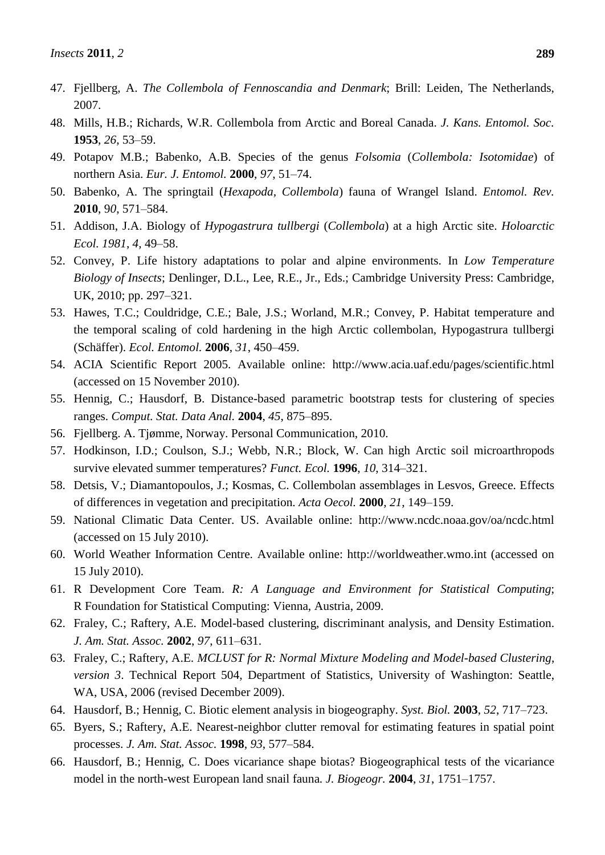- 47. Fjellberg, A. *The Collembola of Fennoscandia and Denmark*; Brill: Leiden, The Netherlands, 2007.
- 48. Mills, H.B.; Richards, W.R. Collembola from Arctic and Boreal Canada. *J. Kans. Entomol. Soc.* **1953**, *26*, 53–59.
- 49. Potapov M.B.; Babenko, A.B. Species of the genus *Folsomia* (*Collembola: Isotomidae*) of northern Asia. *Eur. J. Entomol.* **2000**, *97*, 51–74.
- 50. Babenko, A. The springtail (*Hexapoda, Collembola*) fauna of Wrangel Island. *Entomol. Rev.* **2010**, 9*0*, 571–584.
- 51. Addison, J.A. Biology of *Hypogastrura tullbergi* (*Collembola*) at a high Arctic site. *Holoarctic Ecol. 1981*, *4*, 49–58.
- 52. Convey, P. Life history adaptations to polar and alpine environments. In *Low Temperature Biology of Insects*; Denlinger, D.L., Lee, R.E., Jr., Eds.; Cambridge University Press: Cambridge, UK, 2010; pp. 297–321.
- 53. Hawes, T.C.; Couldridge, C.E.; Bale, J.S.; Worland, M.R.; Convey, P. Habitat temperature and the temporal scaling of cold hardening in the high Arctic collembolan, Hypogastrura tullbergi (Schäffer). *Ecol. Entomol.* **2006**, *31*, 450–459.
- 54. ACIA Scientific Report 2005. Available online: http://www.acia.uaf.edu/pages/scientific.html (accessed on 15 November 2010).
- 55. Hennig, C.; Hausdorf, B. Distance-based parametric bootstrap tests for clustering of species ranges. *Comput. Stat. Data Anal.* **2004**, *45*, 875–895.
- 56. Fjellberg. A. Tjømme, Norway. Personal Communication, 2010.
- 57. Hodkinson, I.D.; Coulson, S.J.; Webb, N.R.; Block, W. Can high Arctic soil microarthropods survive elevated summer temperatures? *Funct. Ecol.* **1996**, *10*, 314–321.
- 58. Detsis, V.; Diamantopoulos, J.; Kosmas, C. Collembolan assemblages in Lesvos, Greece. Effects of differences in vegetation and precipitation. *Acta Oecol.* **2000**, *21*, 149–159.
- 59. National Climatic Data Center. US. Available online: http://www.ncdc.noaa.gov/oa/ncdc.html (accessed on 15 July 2010).
- 60. World Weather Information Centre. Available online: http://worldweather.wmo.int (accessed on 15 July 2010).
- 61. R Development Core Team. *R: A Language and Environment for Statistical Computing*; R Foundation for Statistical Computing: Vienna, Austria, 2009.
- 62. Fraley, C.; Raftery, A.E. Model-based clustering, discriminant analysis, and Density Estimation. *J. Am. Stat. Assoc.* **2002**, *97*, 611–631.
- 63. Fraley, C.; Raftery, A.E. *MCLUST for R: Normal Mixture Modeling and Model-based Clustering*, *version 3*. Technical Report 504, Department of Statistics, University of Washington: Seattle, WA, USA, 2006 (revised December 2009).
- 64. Hausdorf, B.; Hennig, C. Biotic element analysis in biogeography. *Syst. Biol.* **2003**, *52*, 717–723.
- 65. Byers, S.; Raftery, A.E. Nearest-neighbor clutter removal for estimating features in spatial point processes. *J. Am. Stat. Assoc.* **1998**, *93*, 577–584.
- 66. Hausdorf, B.; Hennig, C. Does vicariance shape biotas? Biogeographical tests of the vicariance model in the north-west European land snail fauna*. J. Biogeogr.* **2004**, *31*, 1751–1757.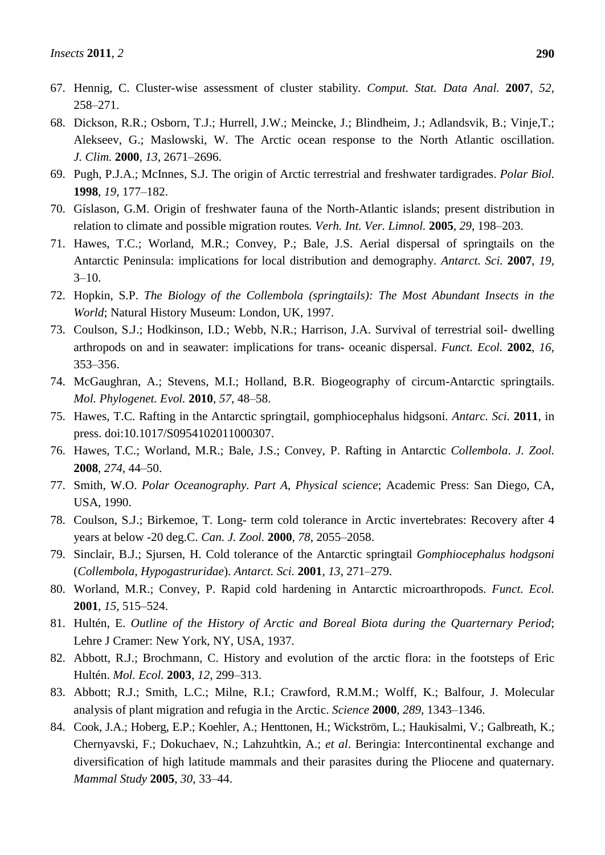- 67. Hennig, C. Cluster-wise assessment of cluster stability. *Comput. Stat. Data Anal.* **2007**, *52*, 258–271.
- 68. Dickson, R.R.; Osborn, T.J.; Hurrell, J.W.; Meincke, J.; Blindheim, J.; Adlandsvik, B.; Vinje,T.; Alekseev, G.; Maslowski, W. The Arctic ocean response to the North Atlantic oscillation. *J. Clim.* **2000**, *13*, 2671–2696.
- 69. Pugh, P.J.A.; McInnes, S.J. The origin of Arctic terrestrial and freshwater tardigrades. *Polar Biol.* **1998**, *19*, 177–182.
- 70. Gíslason, G.M. Origin of freshwater fauna of the North-Atlantic islands; present distribution in relation to climate and possible migration routes*. Verh. Int. Ver. Limnol.* **2005**, *29*, 198–203.
- 71. Hawes, T.C.; Worland, M.R.; Convey, P.; Bale, J.S. Aerial dispersal of springtails on the Antarctic Peninsula: implications for local distribution and demography. *Antarct. Sci.* **2007**, *19*,  $3 - 10$ .
- 72. Hopkin, S.P. *The Biology of the Collembola (springtails): The Most Abundant Insects in the World*; Natural History Museum: London, UK, 1997.
- 73. Coulson, S.J.; Hodkinson, I.D.; Webb, N.R.; Harrison, J.A. Survival of terrestrial soil- dwelling arthropods on and in seawater: implications for trans- oceanic dispersal. *Funct. Ecol.* **2002**, *16*, 353–356.
- 74. McGaughran, A.; Stevens, M.I.; Holland, B.R. Biogeography of circum-Antarctic springtails. *Mol. Phylogenet. Evol.* **2010**, *57*, 48–58.
- 75. Hawes, T.C. Rafting in the Antarctic springtail, gomphiocephalus hidgsoni. *Antarc. Sci.* **2011**, in press. doi:10.1017/S0954102011000307.
- 76. Hawes, T.C.; Worland, M.R.; Bale, J.S.; Convey, P. Rafting in Antarctic *Collembola*. *J. Zool.* **2008**, *274*, 44–50.
- 77. Smith, W.O. *Polar Oceanography. Part A*, *Physical science*; Academic Press: San Diego, CA, USA, 1990.
- 78. Coulson, S.J.; Birkemoe, T. Long- term cold tolerance in Arctic invertebrates: Recovery after 4 years at below -20 deg.C. *Can. J. Zool.* **2000**, *78*, 2055–2058.
- 79. Sinclair, B.J.; Sjursen, H. Cold tolerance of the Antarctic springtail *Gomphiocephalus hodgsoni* (*Collembola*, *Hypogastruridae*). *Antarct. Sci.* **2001**, *13*, 271–279.
- 80. Worland, M.R.; Convey, P. Rapid cold hardening in Antarctic microarthropods. *Funct. Ecol.* **2001**, *15*, 515–524.
- 81. Hultén, E. *Outline of the History of Arctic and Boreal Biota during the Quarternary Period*; Lehre J Cramer: New York, NY, USA, 1937*.*
- 82. Abbott, R.J.; Brochmann, C. History and evolution of the arctic flora: in the footsteps of Eric Hultén. *Mol. Ecol.* **2003**, *12*, 299–313.
- 83. Abbott; R.J.; Smith, L.C.; Milne, R.I.; Crawford, R.M.M.; Wolff, K.; Balfour, J. Molecular analysis of plant migration and refugia in the Arctic. *Science* **2000**, *289*, 1343–1346.
- 84. Cook, J.A.; Hoberg, E.P.; Koehler, A.; Henttonen, H.; Wickström, L.; Haukisalmi, V.; Galbreath, K.; Chernyavski, F.; Dokuchaev, N.; Lahzuhtkin, A.; *et al*. Beringia: Intercontinental exchange and diversification of high latitude mammals and their parasites during the Pliocene and quaternary. *Mammal Study* **2005**, *30*, 33–44.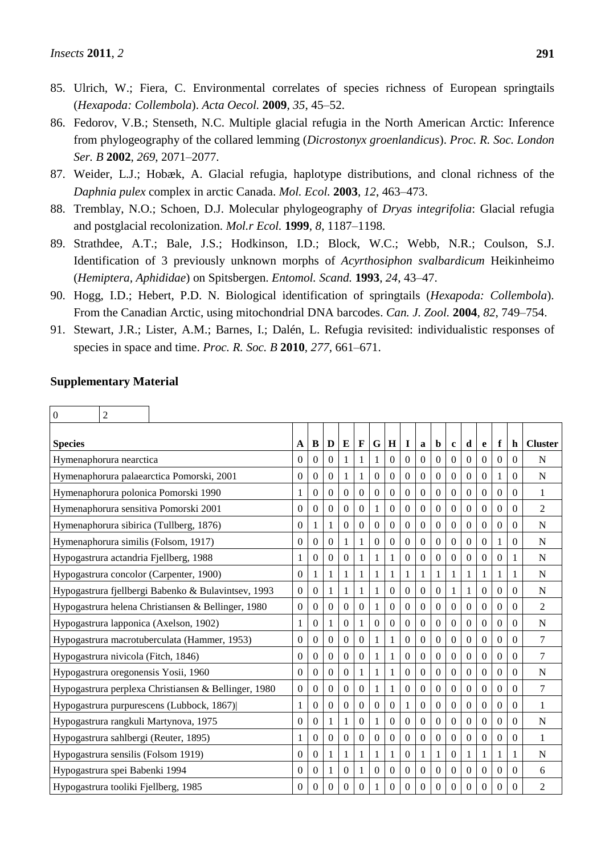- 85. Ulrich, W.; Fiera, C. Environmental correlates of species richness of European springtails (*Hexapoda: Collembola*). *Acta Oecol.* **2009**, *35*, 45–52.
- 86. Fedorov, V.B.; Stenseth, N.C. Multiple glacial refugia in the North American Arctic: Inference from phylogeography of the collared lemming (*Dicrostonyx groenlandicus*). *Proc. R. Soc. London Ser. B* **2002**, *269*, 2071–2077.
- 87. Weider, L.J.; Hobæk, A. Glacial refugia, haplotype distributions, and clonal richness of the *Daphnia pulex* complex in arctic Canada. *Mol. Ecol.* **2003**, *12*, 463–473.
- 88. Tremblay, N.O.; Schoen, D.J. Molecular phylogeography of *Dryas integrifolia*: Glacial refugia and postglacial recolonization. *Mol.r Ecol.* **1999**, *8*, 1187–1198.
- 89. Strathdee, A.T.; Bale, J.S.; Hodkinson, I.D.; Block, W.C.; Webb, N.R.; Coulson, S.J. Identification of 3 previously unknown morphs of *Acyrthosiphon svalbardicum* Heikinheimo (*Hemiptera, Aphididae*) on Spitsbergen. *Entomol. Scand.* **1993**, *24*, 43–47.
- 90. Hogg, I.D.; Hebert, P.D. N. Biological identification of springtails (*Hexapoda: Collembola*). From the Canadian Arctic, using mitochondrial DNA barcodes. *Can. J. Zool.* **2004**, *82*, 749–754.
- 91. Stewart, J.R.; Lister, A.M.; Barnes, I.; Dalén, L. Refugia revisited: individualistic responses of species in space and time. *Proc. R. Soc. B* **2010**, *277*, 661–671.

| $\boldsymbol{0}$ | $\overline{c}$                 |                                                      |                  |                |                |                  |                  |                  |                  |                  |                  |                  |                |                  |                  |                  |          |                |
|------------------|--------------------------------|------------------------------------------------------|------------------|----------------|----------------|------------------|------------------|------------------|------------------|------------------|------------------|------------------|----------------|------------------|------------------|------------------|----------|----------------|
| <b>Species</b>   |                                |                                                      | $\mathbf{A}$     | B              | D              | E                | $\mathbf{F}$     | G                | H                | $\mathbf I$      | $\mathbf{a}$     | $\mathbf b$      | $\mathbf c$    | d                | e                | f                | h        | <b>Cluster</b> |
|                  | Hymenaphorura nearctica        |                                                      | $\mathbf{0}$     | 0              | $\overline{0}$ | 1                | 1                | 1                | $\mathbf{0}$     | $\mathbf{0}$     | $\Omega$         | $\Omega$         | $\Omega$       | $\overline{0}$   | $\boldsymbol{0}$ | $\boldsymbol{0}$ | 0        | N              |
|                  |                                | Hymenaphorura palaearctica Pomorski, 2001            | $\Omega$         | $\Omega$       | $\Omega$       | 1                | 1                | $\theta$         | $\Omega$         | $\theta$         | $\Omega$         | $\Omega$         | $\theta$       | $\Omega$         | $\theta$         | 1                | $\Omega$ | N              |
|                  |                                | Hymenaphorura polonica Pomorski 1990                 | $\mathbf{1}$     | 0              | $\Omega$       | $\Omega$         | $\theta$         | $\theta$         | $\Omega$         | $\Omega$         | $\theta$         | $\Omega$         | $\theta$       | $\theta$         | $\theta$         | $\Omega$         | $\theta$ | 1              |
|                  |                                | Hymenaphorura sensitiva Pomorski 2001                | $\theta$         | 0              | $\overline{0}$ | $\boldsymbol{0}$ | $\boldsymbol{0}$ |                  | $\boldsymbol{0}$ | $\mathbf{0}$     | $\Omega$         | $\Omega$         | $\overline{0}$ | $\overline{0}$   | $\boldsymbol{0}$ | $\theta$         | 0        | $\overline{2}$ |
|                  |                                | Hymenaphorura sibirica (Tullberg, 1876)              | $\theta$         |                | 1              | $\Omega$         | $\mathbf{0}$     | $\overline{0}$   | $\Omega$         | $\overline{0}$   | $\Omega$         | $\mathbf{0}$     | $\theta$       | $\boldsymbol{0}$ | $\overline{0}$   | $\theta$         | $\theta$ | N              |
|                  |                                | Hymenaphorura similis (Folsom, 1917)                 | $\theta$         | 0              | $\overline{0}$ | 1                | $\mathbf{1}$     | $\overline{0}$   | $\mathbf{0}$     | $\overline{0}$   | $\mathbf{0}$     | $\overline{0}$   | $\theta$       | $\boldsymbol{0}$ | $\overline{0}$   | 1                | 0        | $\mathbf N$    |
|                  |                                | Hypogastrura actandria Fjellberg, 1988               | 1                | 0              | $\mathbf{0}$   | $\mathbf{0}$     | 1                | 1                | 1                | $\mathbf{0}$     | $\overline{0}$   | $\boldsymbol{0}$ | $\theta$       | $\boldsymbol{0}$ | $\boldsymbol{0}$ | $\boldsymbol{0}$ | 1        | N              |
|                  |                                | Hypogastrura concolor (Carpenter, 1900)              | $\theta$         |                |                | 1                | 1                | 1                | 1                | 1                | 1                | 1                | 1              | 1                | 1                | $\mathbf{1}$     |          | $\mathbf N$    |
|                  |                                | Hypogastrura fjellbergi Babenko & Bulavintsev, 1993  | $\theta$         | 0              | 1              | 1                | 1                | 1                | $\Omega$         | $\overline{0}$   | $\Omega$         | $\mathbf{0}$     |                | 1                | 0                | $\theta$         | 0        | N              |
|                  |                                | Hypogastrura helena Christiansen & Bellinger, 1980   | $\overline{0}$   | 0              | $\Omega$       | $\boldsymbol{0}$ | $\mathbf{0}$     | 1                | $\mathbf{0}$     | $\Omega$         | $\Omega$         | $\overline{0}$   | $\theta$       | $\overline{0}$   | $\overline{0}$   | $\overline{0}$   | 0        | $\overline{2}$ |
|                  |                                | Hypogastrura lapponica (Axelson, 1902)               | 1                | 0              | 1              | $\boldsymbol{0}$ | 1                | $\theta$         | $\Omega$         | $\overline{0}$   | $\Omega$         | $\Omega$         | $\Omega$       | $\boldsymbol{0}$ | $\overline{0}$   | $\theta$         | 0        | N              |
|                  |                                | Hypogastrura macrotuberculata (Hammer, 1953)         | $\theta$         | 0              | $\overline{0}$ | $\boldsymbol{0}$ | $\boldsymbol{0}$ | 1                | 1                | $\overline{0}$   | $\boldsymbol{0}$ | $\mathbf{0}$     | $\theta$       | $\boldsymbol{0}$ | $\overline{0}$   | $\theta$         | 0        | 7              |
|                  |                                | Hypogastrura nivicola (Fitch, 1846)                  | $\boldsymbol{0}$ | 0              | $\overline{0}$ | $\boldsymbol{0}$ | $\boldsymbol{0}$ | 1                | 1                | $\boldsymbol{0}$ | $\Omega$         | $\Omega$         | $\theta$       | $\boldsymbol{0}$ | $\boldsymbol{0}$ | $\boldsymbol{0}$ | $\theta$ | 7              |
|                  |                                | Hypogastrura oregonensis Yosii, 1960                 | $\Omega$         | $\Omega$       | $\Omega$       | $\Omega$         | 1                | 1                | 1                | $\Omega$         | $\overline{0}$   | $\mathbf{0}$     | $\Omega$       | $\overline{0}$   | $\theta$         | $\theta$         | $\theta$ | N              |
|                  |                                | Hypogastrura perplexa Christiansen & Bellinger, 1980 | $\theta$         | 0              | $\Omega$       | $\theta$         | $\boldsymbol{0}$ | 1                | 1                | $\Omega$         | $\theta$         | $\Omega$         | $\Omega$       | 0                | $\overline{0}$   | $\Omega$         | 0        | 7              |
|                  |                                | Hypogastrura purpurescens (Lubbock, 1867)            | 1                | 0              | $\Omega$       | $\mathbf{0}$     | $\boldsymbol{0}$ | $\theta$         | $\Omega$         | 1                | $\Omega$         | $\Omega$         | $\theta$       | $\boldsymbol{0}$ | $\overline{0}$   | $\theta$         | 0        | 1              |
|                  |                                | Hypogastrura rangkuli Martynova, 1975                | $\boldsymbol{0}$ | 0              |                | 1                | $\boldsymbol{0}$ |                  | $\Omega$         | $\boldsymbol{0}$ | $\boldsymbol{0}$ | $\boldsymbol{0}$ | $\theta$       | $\overline{0}$   | $\boldsymbol{0}$ | $\boldsymbol{0}$ | 0        | $\mathbf N$    |
|                  |                                | Hypogastrura sahlbergi (Reuter, 1895)                | 1                | 0              | $\Omega$       | $\boldsymbol{0}$ | $\boldsymbol{0}$ | $\theta$         | $\boldsymbol{0}$ | $\boldsymbol{0}$ | $\Omega$         | $\Omega$         | $\Omega$       | $\boldsymbol{0}$ | $\boldsymbol{0}$ | $\overline{0}$   | $\theta$ | 1              |
|                  |                                | Hypogastrura sensilis (Folsom 1919)                  | $\Omega$         | $\overline{0}$ | 1              | 1                | 1                | 1                | 1                | $\mathbf{0}$     | 1                | 1                | $\theta$       | 1                | 1                | $\mathbf{1}$     |          | N              |
|                  | Hypogastrura spei Babenki 1994 |                                                      | $\boldsymbol{0}$ | 0              | 1              | $\theta$         | 1                | $\boldsymbol{0}$ | $\Omega$         | $\mathbf{0}$     | $\overline{0}$   | $\boldsymbol{0}$ | $\theta$       | $\overline{0}$   | $\boldsymbol{0}$ | $\boldsymbol{0}$ | $\theta$ | 6              |
|                  |                                | Hypogastrura tooliki Fjellberg, 1985                 | $\Omega$         | 0              | 0              | $\Omega$         | $\theta$         |                  | $\Omega$         | $\Omega$         | $\Omega$         | $\Omega$         | $\Omega$       | $\Omega$         | $\theta$         | $\Omega$         | 0        | $\overline{2}$ |

## **Supplementary Material**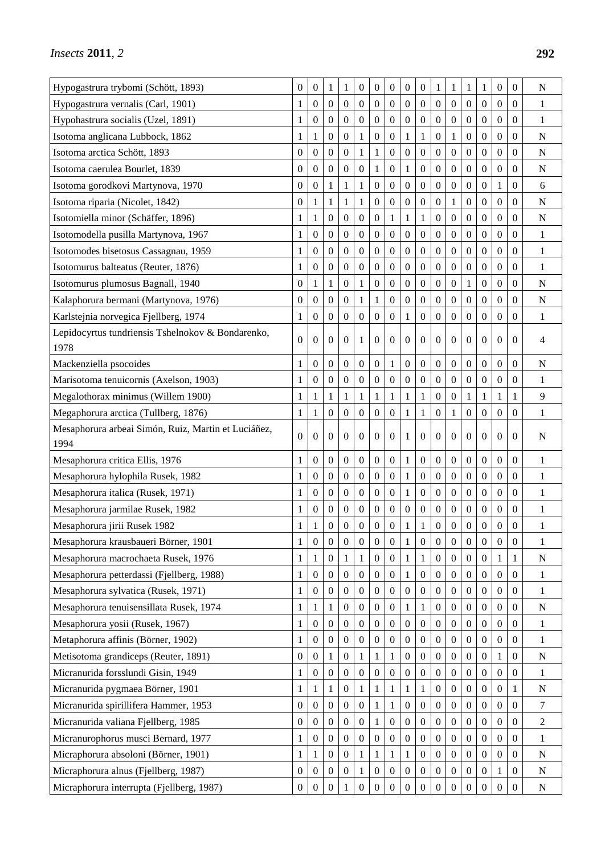| Hypogastrura trybomi (Schött, 1893)                  | $\boldsymbol{0}$ | $\boldsymbol{0}$ | 1                | 1                | $\boldsymbol{0}$ | $\mathbf{0}$     | $\boldsymbol{0}$ | $\boldsymbol{0}$ | $\overline{0}$   | 1                | 1                | 1                | $\mathbf{1}$     | $\boldsymbol{0}$ | $\overline{0}$   | $\overline{N}$ |
|------------------------------------------------------|------------------|------------------|------------------|------------------|------------------|------------------|------------------|------------------|------------------|------------------|------------------|------------------|------------------|------------------|------------------|----------------|
| Hypogastrura vernalis (Carl, 1901)                   | 1                | 0                | 0                | $\boldsymbol{0}$ | $\boldsymbol{0}$ | $\boldsymbol{0}$ | $\overline{0}$   | $\boldsymbol{0}$ | $\overline{0}$   | $\overline{0}$   | $\theta$         | $\overline{0}$   | 0                | $\boldsymbol{0}$ | 0                | $\mathbf{1}$   |
| Hypohastrura socialis (Uzel, 1891)                   | 1                | 0                | $\boldsymbol{0}$ | 0                | $\boldsymbol{0}$ | $\boldsymbol{0}$ | $\boldsymbol{0}$ | $\boldsymbol{0}$ | $\boldsymbol{0}$ | $\overline{0}$   | $\theta$         | 0                | 0                | $\boldsymbol{0}$ | 0                | $\mathbf{1}$   |
| Isotoma anglicana Lubbock, 1862                      | 1                | 1                | $\boldsymbol{0}$ | $\theta$         | $\mathbf{1}$     | $\mathbf{0}$     | $\boldsymbol{0}$ | $\mathbf{1}$     | 1                | $\boldsymbol{0}$ | 1                | $\boldsymbol{0}$ | $\boldsymbol{0}$ | $\mathbf{0}$     | 0                | N              |
| Isotoma arctica Schött, 1893                         | $\overline{0}$   | $\boldsymbol{0}$ | 0                | $\boldsymbol{0}$ | $\mathbf{1}$     | 1                | $\overline{0}$   | $\boldsymbol{0}$ | $\overline{0}$   | $\boldsymbol{0}$ | $\boldsymbol{0}$ | 0                | 0                | $\boldsymbol{0}$ | 0                | $\mathbf N$    |
| Isotoma caerulea Bourlet, 1839                       | 0                | $\boldsymbol{0}$ | $\boldsymbol{0}$ | $\boldsymbol{0}$ | $\boldsymbol{0}$ | 1                | $\boldsymbol{0}$ | 1                | $\boldsymbol{0}$ | $\overline{0}$   | $\theta$         | 0                | $\overline{0}$   | $\boldsymbol{0}$ | 0                | N              |
| Isotoma gorodkovi Martynova, 1970                    | $\boldsymbol{0}$ | $\overline{0}$   | 1                | $\mathbf 1$      | $\mathbf{1}$     | $\mathbf{0}$     | $\mathbf{0}$     | $\boldsymbol{0}$ | $\boldsymbol{0}$ | $\boldsymbol{0}$ | $\overline{0}$   | $\boldsymbol{0}$ | $\boldsymbol{0}$ | $\mathbf{1}$     | 0                | 6              |
| Isotoma riparia (Nicolet, 1842)                      | $\theta$         |                  | 1                | 1                | 1                | $\boldsymbol{0}$ | $\mathbf{0}$     | $\boldsymbol{0}$ | $\overline{0}$   | $\boldsymbol{0}$ | 1                | 0                | $\boldsymbol{0}$ | $\boldsymbol{0}$ | 0                | $\mathbf N$    |
| Isotomiella minor (Schäffer, 1896)                   | 1                | 1                | 0                | $\boldsymbol{0}$ | $\boldsymbol{0}$ | $\boldsymbol{0}$ | 1                | 1                | 1                | $\overline{0}$   | $\theta$         | $\overline{0}$   | 0                | $\overline{0}$   | $\overline{0}$   | N              |
| Isotomodella pusilla Martynova, 1967                 | 1                | $\boldsymbol{0}$ | $\boldsymbol{0}$ | $\boldsymbol{0}$ | $\boldsymbol{0}$ | $\boldsymbol{0}$ | $\boldsymbol{0}$ | $\boldsymbol{0}$ | $\boldsymbol{0}$ | $\boldsymbol{0}$ | $\boldsymbol{0}$ | $\boldsymbol{0}$ | $\boldsymbol{0}$ | $\boldsymbol{0}$ | 0                | $\mathbf{1}$   |
| Isotomodes bisetosus Cassagnau, 1959                 | 1                | $\boldsymbol{0}$ | $\boldsymbol{0}$ | $\boldsymbol{0}$ | $\theta$         | $\boldsymbol{0}$ | $\overline{0}$   | $\boldsymbol{0}$ | $\overline{0}$   | $\boldsymbol{0}$ | $\boldsymbol{0}$ | 0                | $\boldsymbol{0}$ | $\boldsymbol{0}$ | 0                | 1              |
| Isotomurus balteatus (Reuter, 1876)                  | 1                | 0                | $\overline{0}$   | $\boldsymbol{0}$ | $\boldsymbol{0}$ | $\mathbf{0}$     | $\boldsymbol{0}$ | $\boldsymbol{0}$ | $\overline{0}$   | $\theta$         | $\theta$         | $\overline{0}$   | 0                | $\boldsymbol{0}$ | 0                | 1              |
| Isotomurus plumosus Bagnall, 1940                    | $\boldsymbol{0}$ | 1                | 1                | $\theta$         | $\mathbf{1}$     | $\boldsymbol{0}$ | $\boldsymbol{0}$ | $\boldsymbol{0}$ | $\boldsymbol{0}$ | $\boldsymbol{0}$ | $\boldsymbol{0}$ | $\mathbf{1}$     | $\boldsymbol{0}$ | $\mathbf{0}$     | 0                | N              |
| Kalaphorura bermani (Martynova, 1976)                | 0                | $\boldsymbol{0}$ | $\boldsymbol{0}$ | $\boldsymbol{0}$ | $\mathbf{1}$     | 1                | $\boldsymbol{0}$ | $\boldsymbol{0}$ | $\overline{0}$   | $\boldsymbol{0}$ | $\boldsymbol{0}$ | 0                | $\boldsymbol{0}$ | $\boldsymbol{0}$ | 0                | N              |
| Karlstejnia norvegica Fjellberg, 1974                | 1                | 0                | $\theta$         | $\boldsymbol{0}$ | $\boldsymbol{0}$ | $\boldsymbol{0}$ | $\mathbf{0}$     | 1                | $\theta$         | $\theta$         | $\theta$         | 0                | 0                | $\boldsymbol{0}$ | 0                | 1              |
| Lepidocyrtus tundriensis Tshelnokov & Bondarenko,    | $\theta$         | $\theta$         | $\Omega$         | $\theta$         | 1                | $\Omega$         | $\Omega$         | $\boldsymbol{0}$ | $\overline{0}$   | $\theta$         | $\theta$         | $\theta$         | $\overline{0}$   | $\Omega$         | $\theta$         | 4              |
| 1978                                                 |                  |                  |                  |                  |                  |                  |                  |                  |                  |                  |                  |                  |                  |                  |                  |                |
| Mackenziella psocoides                               | 1                | 0                | $\boldsymbol{0}$ | $\boldsymbol{0}$ | $\boldsymbol{0}$ | $\mathbf{0}$     | 1                | $\boldsymbol{0}$ | $\boldsymbol{0}$ | $\boldsymbol{0}$ | $\mathbf{0}$     | 0                | 0                | $\boldsymbol{0}$ | 0                | N              |
| Marisotoma tenuicornis (Axelson, 1903)               | 1                | 0                | $\boldsymbol{0}$ | $\boldsymbol{0}$ | $\mathbf{0}$     | $\mathbf{0}$     | $\mathbf{0}$     | $\boldsymbol{0}$ | $\mathbf{0}$     | $\boldsymbol{0}$ | $\mathbf{0}$     | $\boldsymbol{0}$ | $\overline{0}$   | $\overline{0}$   | $\overline{0}$   | $\mathbf{1}$   |
| Megalothorax minimus (Willem 1900)                   | 1                |                  | 1                | 1                | $\mathbf{1}$     | 1                | 1                | 1                | 1                | $\boldsymbol{0}$ | $\boldsymbol{0}$ | 1                | $\mathbf{1}$     | 1                | 1                | 9              |
| Megaphorura arctica (Tullberg, 1876)                 | 1                | 1                | 0                | $\boldsymbol{0}$ | 0                | $\boldsymbol{0}$ | $\boldsymbol{0}$ | 1                | 1                | $\overline{0}$   | 1                | 0                | 0                | $\boldsymbol{0}$ | 0                | $\mathbf{1}$   |
| Mesaphorura arbeai Simón, Ruiz, Martin et Luci áñez, | $\Omega$         | $\Omega$         | $\Omega$         | $\theta$         | $\theta$         | $\Omega$         | $\Omega$         | 1                | $\overline{0}$   | $\theta$         | $\theta$         | $\theta$         | $\overline{0}$   | $\theta$         | $\theta$         | $\mathbf N$    |
| 1994                                                 |                  |                  |                  |                  |                  |                  |                  |                  |                  |                  |                  |                  |                  |                  |                  |                |
| Mesaphorura critica Ellis, 1976                      | 1                | 0                | $\boldsymbol{0}$ | $\boldsymbol{0}$ | $\boldsymbol{0}$ | $\boldsymbol{0}$ | $\boldsymbol{0}$ | 1                | $\boldsymbol{0}$ | $\boldsymbol{0}$ | $\boldsymbol{0}$ | $\boldsymbol{0}$ | 0                | $\boldsymbol{0}$ | 0                | $\mathbf{1}$   |
| Mesaphorura hylophila Rusek, 1982                    | 1                | 0                | $\boldsymbol{0}$ | $\boldsymbol{0}$ | $\boldsymbol{0}$ | $\boldsymbol{0}$ | $\boldsymbol{0}$ | 1                | $\boldsymbol{0}$ | $\boldsymbol{0}$ | $\boldsymbol{0}$ | 0                | $\boldsymbol{0}$ | $\boldsymbol{0}$ | 0                | $\mathbf{1}$   |
| Mesaphorura italica (Rusek, 1971)                    | 1                | 0                | $\theta$         | $\boldsymbol{0}$ | $\boldsymbol{0}$ | $\mathbf{0}$     | $\mathbf{0}$     | 1                | $\overline{0}$   | $\theta$         | $\theta$         | $\overline{0}$   | 0                | $\boldsymbol{0}$ | 0                | 1              |
| Mesaphorura jarmilae Rusek, 1982                     | 1                | $\boldsymbol{0}$ | $\boldsymbol{0}$ | $\boldsymbol{0}$ | $\boldsymbol{0}$ | $\boldsymbol{0}$ | $\mathbf{0}$     | $\boldsymbol{0}$ | $\overline{0}$   | $\boldsymbol{0}$ | $\boldsymbol{0}$ | 0                | 0                | $\boldsymbol{0}$ | 0                | $\mathbf{1}$   |
| Mesaphorura jirii Rusek 1982                         | 1                | 1                | 0                | $\boldsymbol{0}$ | $\boldsymbol{0}$ | $\boldsymbol{0}$ | $\boldsymbol{0}$ | 1                | 1                | $\boldsymbol{0}$ | $\boldsymbol{0}$ | 0                | $\boldsymbol{0}$ | $\boldsymbol{0}$ | 0                | $\mathbf{1}$   |
| Mesaphorura krausbaueri B örner, 1901                | 1                | $\boldsymbol{0}$ | $\boldsymbol{0}$ | $\boldsymbol{0}$ | $\boldsymbol{0}$ | $\boldsymbol{0}$ | $\boldsymbol{0}$ | 1                | $\boldsymbol{0}$ | $\boldsymbol{0}$ | $\boldsymbol{0}$ | $\boldsymbol{0}$ | $\boldsymbol{0}$ | $\boldsymbol{0}$ | 0                | 1              |
| Mesaphorura macrochaeta Rusek, 1976                  | $\mathbf{1}$     | 1                | $\overline{0}$   | 1                | $\mathbf{1}$     | $\mathbf{0}$     | $\boldsymbol{0}$ | 1                | 1                | $\boldsymbol{0}$ | $\boldsymbol{0}$ | $\overline{0}$   | $\overline{0}$   | 1                | 1                | $\mathbf N$    |
| Mesaphorura petterdassi (Fjellberg, 1988)            | $\mathbf 1$      | $\boldsymbol{0}$ | $\boldsymbol{0}$ | $\boldsymbol{0}$ | $\boldsymbol{0}$ | $\boldsymbol{0}$ | $\boldsymbol{0}$ | $\mathbf{1}$     | $\boldsymbol{0}$ | $\boldsymbol{0}$ | $\boldsymbol{0}$ | $\boldsymbol{0}$ | $\boldsymbol{0}$ | $\boldsymbol{0}$ | 0                | $\mathbf{1}$   |
| Mesaphorura sylvatica (Rusek, 1971)                  | 1                | $\boldsymbol{0}$ | $\boldsymbol{0}$ | $\boldsymbol{0}$ | $\boldsymbol{0}$ | $\boldsymbol{0}$ | $\boldsymbol{0}$ | $\boldsymbol{0}$ | $\boldsymbol{0}$ | $\boldsymbol{0}$ | $\boldsymbol{0}$ | 0                | $\boldsymbol{0}$ | $\boldsymbol{0}$ | 0                | 1              |
| Mesaphorura tenuisensillata Rusek, 1974              | 1                | 1                | 1                | $\boldsymbol{0}$ | $\boldsymbol{0}$ | $\boldsymbol{0}$ | $\boldsymbol{0}$ | 1                | $\mathbf{1}$     | $\boldsymbol{0}$ | $\boldsymbol{0}$ | $\boldsymbol{0}$ | $\boldsymbol{0}$ | $\boldsymbol{0}$ | 0                | $\mathbf N$    |
| Mesaphorura yosii (Rusek, 1967)                      | $\mathbf{1}$     | $\boldsymbol{0}$ | $\boldsymbol{0}$ | $\boldsymbol{0}$ | $\boldsymbol{0}$ | $\boldsymbol{0}$ | $\boldsymbol{0}$ | $\boldsymbol{0}$ | $\boldsymbol{0}$ | $\boldsymbol{0}$ | $\boldsymbol{0}$ | $\boldsymbol{0}$ | $\boldsymbol{0}$ | $\boldsymbol{0}$ | 0                | 1              |
| Metaphorura affinis (Börner, 1902)                   | $\mathbf{1}$     | $\boldsymbol{0}$ | $\boldsymbol{0}$ | $\boldsymbol{0}$ | $\boldsymbol{0}$ | $\boldsymbol{0}$ | $\boldsymbol{0}$ | $\boldsymbol{0}$ | $\boldsymbol{0}$ | $\boldsymbol{0}$ | $\boldsymbol{0}$ | $\boldsymbol{0}$ | $\boldsymbol{0}$ | $\boldsymbol{0}$ | 0                | 1              |
| Metisotoma grandiceps (Reuter, 1891)                 | $\boldsymbol{0}$ | $\boldsymbol{0}$ | $\mathbf{1}$     | $\boldsymbol{0}$ | 1                | 1                | 1                | $\boldsymbol{0}$ | $\boldsymbol{0}$ | $\boldsymbol{0}$ | $\boldsymbol{0}$ | $\boldsymbol{0}$ | 0                | 1                | 0                | $\mathbf N$    |
| Micranurida forsslundi Gisin, 1949                   | $\mathbf{1}$     | $\boldsymbol{0}$ | $\boldsymbol{0}$ | $\boldsymbol{0}$ | $\boldsymbol{0}$ | $\boldsymbol{0}$ | $\boldsymbol{0}$ | $\boldsymbol{0}$ | $\boldsymbol{0}$ | $\boldsymbol{0}$ | $\boldsymbol{0}$ | $\boldsymbol{0}$ | $\boldsymbol{0}$ | $\boldsymbol{0}$ | $\boldsymbol{0}$ | $\mathbf{1}$   |
| Micranurida pygmaea Börner, 1901                     | $\mathbf{1}$     | 1                | $\mathbf{1}$     | $\boldsymbol{0}$ | $\mathbf{1}$     | 1                | 1                | 1                | $\mathbf{1}$     | $\boldsymbol{0}$ | $\boldsymbol{0}$ | $\boldsymbol{0}$ | $\boldsymbol{0}$ | $\boldsymbol{0}$ | 1                | ${\bf N}$      |
| Micranurida spirillifera Hammer, 1953                | $\boldsymbol{0}$ | $\boldsymbol{0}$ | $\boldsymbol{0}$ | $\boldsymbol{0}$ | $\boldsymbol{0}$ | 1                | 1                | $\boldsymbol{0}$ | $\boldsymbol{0}$ | $\boldsymbol{0}$ | $\boldsymbol{0}$ | $\boldsymbol{0}$ | $\boldsymbol{0}$ | $\boldsymbol{0}$ | 0                | 7              |
| Micranurida valiana Fjellberg, 1985                  | $\boldsymbol{0}$ | $\boldsymbol{0}$ | $\boldsymbol{0}$ | $\boldsymbol{0}$ | $\boldsymbol{0}$ | 1                | $\boldsymbol{0}$ | $\boldsymbol{0}$ | $\boldsymbol{0}$ | $\boldsymbol{0}$ | $\boldsymbol{0}$ | $\boldsymbol{0}$ | $\boldsymbol{0}$ | $\boldsymbol{0}$ | 0                | $\overline{2}$ |
| Micranurophorus musci Bernard, 1977                  | 1                | $\theta$         | $\overline{0}$   | $\boldsymbol{0}$ | $\boldsymbol{0}$ | $\boldsymbol{0}$ | $\boldsymbol{0}$ | $\boldsymbol{0}$ | $\boldsymbol{0}$ | $\boldsymbol{0}$ | $\boldsymbol{0}$ | $\boldsymbol{0}$ | $\boldsymbol{0}$ | $\boldsymbol{0}$ | 0                | 1              |
| Micraphorura absoloni (Börner, 1901)                 | $\mathbf{1}$     | 1                | $\boldsymbol{0}$ | $\boldsymbol{0}$ | $\mathbf{1}$     | 1                | 1                | 1                | $\boldsymbol{0}$ | $\boldsymbol{0}$ | $\boldsymbol{0}$ | 0                | $\boldsymbol{0}$ | $\boldsymbol{0}$ | 0                | $\mathbf N$    |
| Micraphorura alnus (Fjellberg, 1987)                 | $\boldsymbol{0}$ | $\boldsymbol{0}$ | $\boldsymbol{0}$ | $\boldsymbol{0}$ | $\mathbf{1}$     | $\boldsymbol{0}$ | $\boldsymbol{0}$ | $\boldsymbol{0}$ | $\boldsymbol{0}$ | $\boldsymbol{0}$ | $\boldsymbol{0}$ | $\boldsymbol{0}$ | $\boldsymbol{0}$ | $\mathbf{1}$     | 0                | ${\bf N}$      |
| Micraphorura interrupta (Fjellberg, 1987)            | $\boldsymbol{0}$ | $\boldsymbol{0}$ | $\boldsymbol{0}$ | 1                | $\boldsymbol{0}$ | $\boldsymbol{0}$ | $\mathbf{0}$     | $\boldsymbol{0}$ | $\boldsymbol{0}$ | $\boldsymbol{0}$ | $\boldsymbol{0}$ | $\boldsymbol{0}$ | $\boldsymbol{0}$ | $\boldsymbol{0}$ | $\boldsymbol{0}$ | ${\bf N}$      |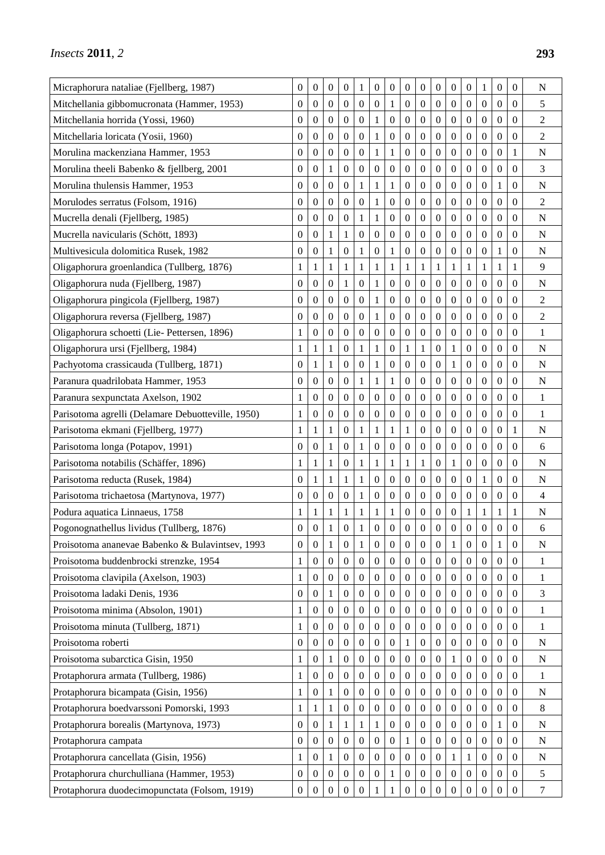| Micraphorura nataliae (Fjellberg, 1987)           | 0                | $\boldsymbol{0}$ | $\boldsymbol{0}$ | $\boldsymbol{0}$ | 1                | $\boldsymbol{0}$ | $\boldsymbol{0}$ | $\boldsymbol{0}$ | $\boldsymbol{0}$ | $\boldsymbol{0}$ | $\boldsymbol{0}$ | $\boldsymbol{0}$ | 1                | $\boldsymbol{0}$ | $\boldsymbol{0}$ | $\mathbf N$      |
|---------------------------------------------------|------------------|------------------|------------------|------------------|------------------|------------------|------------------|------------------|------------------|------------------|------------------|------------------|------------------|------------------|------------------|------------------|
| Mitchellania gibbomucronata (Hammer, 1953)        | 0                | $\theta$         | $\overline{0}$   | $\boldsymbol{0}$ | $\boldsymbol{0}$ | $\overline{0}$   | 1                | $\overline{0}$   | $\overline{0}$   | $\mathbf{0}$     | $\boldsymbol{0}$ | $\overline{0}$   | $\boldsymbol{0}$ | $\boldsymbol{0}$ | $\theta$         | 5                |
| Mitchellania horrida (Yossi, 1960)                | $\boldsymbol{0}$ | $\mathbf{0}$     | $\boldsymbol{0}$ | $\boldsymbol{0}$ | $\boldsymbol{0}$ | $\mathbf{1}$     | $\boldsymbol{0}$ | $\overline{0}$   | $\boldsymbol{0}$ | $\mathbf{0}$     | $\boldsymbol{0}$ | $\boldsymbol{0}$ | $\boldsymbol{0}$ | $\boldsymbol{0}$ | $\boldsymbol{0}$ | $\overline{c}$   |
| Mitchellaria loricata (Yosii, 1960)               | 0                | $\boldsymbol{0}$ | $\boldsymbol{0}$ | $\boldsymbol{0}$ | $\boldsymbol{0}$ | 1                | $\boldsymbol{0}$ | $\boldsymbol{0}$ | $\boldsymbol{0}$ | $\boldsymbol{0}$ | $\boldsymbol{0}$ | $\boldsymbol{0}$ | $\boldsymbol{0}$ | $\boldsymbol{0}$ | $\boldsymbol{0}$ | $\overline{2}$   |
| Morulina mackenziana Hammer, 1953                 | 0                | $\boldsymbol{0}$ | $\boldsymbol{0}$ | $\boldsymbol{0}$ | $\boldsymbol{0}$ | 1                | 1                | $\boldsymbol{0}$ | 0                | $\boldsymbol{0}$ | $\boldsymbol{0}$ | 0                | $\boldsymbol{0}$ | $\boldsymbol{0}$ | 1                | N                |
| Morulina theeli Babenko & fjellberg, 2001         | 0                | $\boldsymbol{0}$ | 1                | $\boldsymbol{0}$ | $\boldsymbol{0}$ | $\boldsymbol{0}$ | $\boldsymbol{0}$ | $\boldsymbol{0}$ | $\overline{0}$   | $\mathbf{0}$     | $\boldsymbol{0}$ | $\boldsymbol{0}$ | $\boldsymbol{0}$ | $\boldsymbol{0}$ | $\boldsymbol{0}$ | 3                |
| Morulina thulensis Hammer, 1953                   | $\boldsymbol{0}$ | $\boldsymbol{0}$ | $\boldsymbol{0}$ | $\boldsymbol{0}$ | $\mathbf{1}$     | $\mathbf{1}$     | $\mathbf{1}$     | $\boldsymbol{0}$ | $\boldsymbol{0}$ | $\boldsymbol{0}$ | $\boldsymbol{0}$ | $\boldsymbol{0}$ | $\boldsymbol{0}$ | $\,1$            | $\boldsymbol{0}$ | $\mathbf N$      |
| Morulodes serratus (Folsom, 1916)                 | $\boldsymbol{0}$ | $\boldsymbol{0}$ | $\boldsymbol{0}$ | $\boldsymbol{0}$ | $\boldsymbol{0}$ | 1                | $\boldsymbol{0}$ | $\boldsymbol{0}$ | 0                | $\boldsymbol{0}$ | $\boldsymbol{0}$ | 0                | $\boldsymbol{0}$ | $\boldsymbol{0}$ | $\boldsymbol{0}$ | 2                |
| Mucrella denali (Fjellberg, 1985)                 | 0                | $\boldsymbol{0}$ | $\boldsymbol{0}$ | $\boldsymbol{0}$ | $\mathbf{1}$     | 1                | $\boldsymbol{0}$ | $\boldsymbol{0}$ | $\boldsymbol{0}$ | $\boldsymbol{0}$ | $\boldsymbol{0}$ | $\boldsymbol{0}$ | $\boldsymbol{0}$ | $\boldsymbol{0}$ | $\boldsymbol{0}$ | $\mathbf N$      |
| Mucrella navicularis (Schött, 1893)               | $\boldsymbol{0}$ | $\boldsymbol{0}$ | $\mathbf{1}$     | 1                | $\mathbf{0}$     | $\boldsymbol{0}$ | $\boldsymbol{0}$ | $\boldsymbol{0}$ | $\boldsymbol{0}$ | $\boldsymbol{0}$ | $\boldsymbol{0}$ | $\boldsymbol{0}$ | $\boldsymbol{0}$ | $\boldsymbol{0}$ | $\mathbf{0}$     | ${\bf N}$        |
| Multivesicula dolomitica Rusek, 1982              | 0                | $\boldsymbol{0}$ | 1                | $\boldsymbol{0}$ | $\mathbf{1}$     | $\boldsymbol{0}$ | 1                | $\boldsymbol{0}$ | 0                | 0                | $\boldsymbol{0}$ | $\boldsymbol{0}$ | $\boldsymbol{0}$ | $\mathbf{1}$     | $\mathbf{0}$     | N                |
| Oligaphorura groenlandica (Tullberg, 1876)        | 1                | 1                | 1                | 1                | 1                | 1                | 1                | 1                | 1                | $\mathbf{1}$     | 1                | 1                | 1                | $\mathbf{1}$     | 1                | 9                |
| Oligaphorura nuda (Fjellberg, 1987)               | 0                | $\boldsymbol{0}$ | $\boldsymbol{0}$ | 1                | $\boldsymbol{0}$ | 1                | $\overline{0}$   | $\boldsymbol{0}$ | $\overline{0}$   | $\boldsymbol{0}$ | $\boldsymbol{0}$ | $\boldsymbol{0}$ | $\boldsymbol{0}$ | $\boldsymbol{0}$ | $\overline{0}$   | N                |
| Oligaphorura pingicola (Fjellberg, 1987)          | 0                | $\boldsymbol{0}$ | $\boldsymbol{0}$ | $\boldsymbol{0}$ | $\boldsymbol{0}$ | 1                | $\boldsymbol{0}$ | $\boldsymbol{0}$ | $\boldsymbol{0}$ | $\boldsymbol{0}$ | $\boldsymbol{0}$ | 0                | $\boldsymbol{0}$ | $\boldsymbol{0}$ | $\boldsymbol{0}$ | $\overline{c}$   |
| Oligaphorura reversa (Fjellberg, 1987)            | 0                | $\boldsymbol{0}$ | $\boldsymbol{0}$ | $\boldsymbol{0}$ | $\boldsymbol{0}$ | 1                | $\boldsymbol{0}$ | $\boldsymbol{0}$ | 0                | 0                | $\boldsymbol{0}$ | $\boldsymbol{0}$ | $\boldsymbol{0}$ | $\boldsymbol{0}$ | $\boldsymbol{0}$ | $\overline{c}$   |
| Oligaphorura schoetti (Lie-Pettersen, 1896)       | $\mathbf{1}$     | $\boldsymbol{0}$ | $\boldsymbol{0}$ | $\boldsymbol{0}$ | $\mathbf{0}$     | $\overline{0}$   | $\boldsymbol{0}$ | $\boldsymbol{0}$ | $\boldsymbol{0}$ | $\boldsymbol{0}$ | $\boldsymbol{0}$ | $\boldsymbol{0}$ | $\boldsymbol{0}$ | $\boldsymbol{0}$ | $\boldsymbol{0}$ | 1                |
| Oligaphorura ursi (Fjellberg, 1984)               | 1                | 1                | 1                | $\boldsymbol{0}$ | $\mathbf{1}$     | 1                | $\boldsymbol{0}$ | 1                | 1                | $\boldsymbol{0}$ | 1                | $\boldsymbol{0}$ | $\boldsymbol{0}$ | $\boldsymbol{0}$ | $\boldsymbol{0}$ | $\mathbf N$      |
| Pachyotoma crassicauda (Tullberg, 1871)           | 0                | 1                | 1                | $\boldsymbol{0}$ | $\boldsymbol{0}$ | 1                | $\boldsymbol{0}$ | $\boldsymbol{0}$ | 0                | $\boldsymbol{0}$ | 1                | $\boldsymbol{0}$ | $\boldsymbol{0}$ | $\boldsymbol{0}$ | $\boldsymbol{0}$ | $\mathbf N$      |
| Paranura quadrilobata Hammer, 1953                | 0                | $\boldsymbol{0}$ | $\boldsymbol{0}$ | $\boldsymbol{0}$ | $\mathbf{1}$     | $\mathbf{1}$     | 1                | $\boldsymbol{0}$ | $\boldsymbol{0}$ | $\boldsymbol{0}$ | $\boldsymbol{0}$ | $\boldsymbol{0}$ | $\boldsymbol{0}$ | $\boldsymbol{0}$ | $\overline{0}$   | N                |
| Paranura sexpunctata Axelson, 1902                | 1                | $\boldsymbol{0}$ | $\boldsymbol{0}$ | $\boldsymbol{0}$ | $\boldsymbol{0}$ | $\theta$         | $\boldsymbol{0}$ | $\boldsymbol{0}$ | $\boldsymbol{0}$ | $\boldsymbol{0}$ | $\boldsymbol{0}$ | 0                | $\boldsymbol{0}$ | $\boldsymbol{0}$ | $\boldsymbol{0}$ | 1                |
| Parisotoma agrelli (Delamare Debuotteville, 1950) | $\mathbf{1}$     | $\boldsymbol{0}$ | $\boldsymbol{0}$ | $\boldsymbol{0}$ | $\boldsymbol{0}$ | $\boldsymbol{0}$ | $\boldsymbol{0}$ | $\boldsymbol{0}$ | 0                | 0                | $\boldsymbol{0}$ | 0                | $\boldsymbol{0}$ | $\boldsymbol{0}$ | $\boldsymbol{0}$ | $\mathbf{1}$     |
| Parisotoma ekmani (Fjellberg, 1977)               | $\mathbf{1}$     | 1                | 1                | $\boldsymbol{0}$ | $\mathbf{1}$     | $\mathbf{1}$     | 1                | 1                | $\boldsymbol{0}$ | $\boldsymbol{0}$ | $\boldsymbol{0}$ | $\boldsymbol{0}$ | $\boldsymbol{0}$ | $\boldsymbol{0}$ | 1                | $\mathbf N$      |
| Parisotoma longa (Potapov, 1991)                  | 0                | $\boldsymbol{0}$ | 1                | $\mathbf{0}$     | $\mathbf{1}$     | $\boldsymbol{0}$ | $\boldsymbol{0}$ | $\boldsymbol{0}$ | $\boldsymbol{0}$ | $\boldsymbol{0}$ | $\boldsymbol{0}$ | $\boldsymbol{0}$ | $\boldsymbol{0}$ | $\boldsymbol{0}$ | $\boldsymbol{0}$ | 6                |
| Parisotoma notabilis (Schäffer, 1896)             | $\mathbf{1}$     | 1                | $\mathbf{1}$     | $\boldsymbol{0}$ | $\mathbf{1}$     | $\mathbf{1}$     | 1                | 1                | $\mathbf{1}$     | $\boldsymbol{0}$ | 1                | $\boldsymbol{0}$ | $\boldsymbol{0}$ | $\boldsymbol{0}$ | $\boldsymbol{0}$ | $\overline{N}$   |
| Parisotoma reducta (Rusek, 1984)                  | $\boldsymbol{0}$ | 1                | $\mathbf{1}$     | 1                | $\mathbf{1}$     | $\boldsymbol{0}$ | $\boldsymbol{0}$ | $\boldsymbol{0}$ | $\boldsymbol{0}$ | $\boldsymbol{0}$ | $\boldsymbol{0}$ | $\boldsymbol{0}$ | $\mathbf{1}$     | $\boldsymbol{0}$ | $\boldsymbol{0}$ | $\mathbf N$      |
| Parisotoma trichaetosa (Martynova, 1977)          | 0                | $\boldsymbol{0}$ | $\boldsymbol{0}$ | $\boldsymbol{0}$ | $\mathbf{1}$     | $\boldsymbol{0}$ | $\boldsymbol{0}$ | $\boldsymbol{0}$ | $\boldsymbol{0}$ | $\boldsymbol{0}$ | $\boldsymbol{0}$ | $\boldsymbol{0}$ | $\boldsymbol{0}$ | $\boldsymbol{0}$ | $\boldsymbol{0}$ | 4                |
| Podura aquatica Linnaeus, 1758                    | 1                | 1                | 1                | 1                | 1                | 1                | 1                | $\boldsymbol{0}$ | $\boldsymbol{0}$ | $\boldsymbol{0}$ | $\boldsymbol{0}$ | 1                | 1                | 1                | 1                | N                |
| Pogonognathellus lividus (Tullberg, 1876)         | $\boldsymbol{0}$ | $\boldsymbol{0}$ | 1                | $\overline{0}$   | $\mathbf{1}$     | $\boldsymbol{0}$ | $\boldsymbol{0}$ | $\boldsymbol{0}$ | $\boldsymbol{0}$ | $\boldsymbol{0}$ | $\boldsymbol{0}$ | 0                | $\boldsymbol{0}$ | $\boldsymbol{0}$ | $\boldsymbol{0}$ | 6                |
| Proisotoma ananevae Babenko & Bulavintsev, 1993   | $\boldsymbol{0}$ | $\boldsymbol{0}$ | $\mathbf{1}$     | $\boldsymbol{0}$ | $\mathbf{1}$     | $\boldsymbol{0}$ | $\boldsymbol{0}$ | $\boldsymbol{0}$ | $\boldsymbol{0}$ | $\boldsymbol{0}$ | $\mathbf{1}$     | $\boldsymbol{0}$ | $\mathbf{0}$     | $\mathbf{1}$     | $\boldsymbol{0}$ | ${\bf N}$        |
| Proisotoma buddenbrocki strenzke, 1954            | 1                | $\boldsymbol{0}$ | $\boldsymbol{0}$ | $\boldsymbol{0}$ | $\boldsymbol{0}$ | $\mathbf{0}$     | $\mathbf{0}$     | $\boldsymbol{0}$ | 0                | $\boldsymbol{0}$ | $\boldsymbol{0}$ | $\boldsymbol{0}$ | $\boldsymbol{0}$ | $\boldsymbol{0}$ | $\boldsymbol{0}$ | 1                |
| Proisotoma clavipila (Axelson, 1903)              | $\mathbf{1}$     | $\boldsymbol{0}$ | $\mathbf{0}$     | $\boldsymbol{0}$ | $\mathbf{0}$     | $\boldsymbol{0}$ | $\boldsymbol{0}$ | $\boldsymbol{0}$ | $\boldsymbol{0}$ | $\boldsymbol{0}$ | $\mathbf{0}$     | $\boldsymbol{0}$ | $\mathbf{0}$     | $\boldsymbol{0}$ | $\mathbf{0}$     | $\mathbf{1}$     |
| Proisotoma ladaki Denis, 1936                     | $\boldsymbol{0}$ | $\boldsymbol{0}$ | $\mathbf{1}$     | $\mathbf{0}$     | $\mathbf{0}$     | $\boldsymbol{0}$ | $\boldsymbol{0}$ | $\boldsymbol{0}$ | $\boldsymbol{0}$ | $\mathbf{0}$     | $\boldsymbol{0}$ | $\boldsymbol{0}$ | $\mathbf{0}$     | $\overline{0}$   | $\mathbf{0}$     | 3                |
| Proisotoma minima (Absolon, 1901)                 | 1                | $\boldsymbol{0}$ | $\boldsymbol{0}$ | $\boldsymbol{0}$ | $\boldsymbol{0}$ | $\boldsymbol{0}$ | $\boldsymbol{0}$ | $\boldsymbol{0}$ | $\boldsymbol{0}$ | $\boldsymbol{0}$ | $\boldsymbol{0}$ | 0                | $\boldsymbol{0}$ | $\boldsymbol{0}$ | $\mathbf{0}$     | 1                |
| Proisotoma minuta (Tullberg, 1871)                | 1                | $\boldsymbol{0}$ | $\boldsymbol{0}$ | $\boldsymbol{0}$ | $\boldsymbol{0}$ | $\boldsymbol{0}$ | $\boldsymbol{0}$ | $\boldsymbol{0}$ | $\boldsymbol{0}$ | $\boldsymbol{0}$ | $\boldsymbol{0}$ | $\boldsymbol{0}$ | $\mathbf{0}$     | $\boldsymbol{0}$ | $\boldsymbol{0}$ | 1                |
| Proisotoma roberti                                | $\boldsymbol{0}$ | $\boldsymbol{0}$ | $\boldsymbol{0}$ | $\boldsymbol{0}$ | $\mathbf{0}$     | $\boldsymbol{0}$ | $\boldsymbol{0}$ | $\mathbf{1}$     | $\boldsymbol{0}$ | $\boldsymbol{0}$ | $\boldsymbol{0}$ | $\boldsymbol{0}$ | $\boldsymbol{0}$ | $\overline{0}$   | $\mathbf{0}$     | $\mathbf N$      |
| Proisotoma subarctica Gisin, 1950                 | 1                | $\boldsymbol{0}$ | 1                | $\boldsymbol{0}$ | $\boldsymbol{0}$ | $\boldsymbol{0}$ | $\boldsymbol{0}$ | $\boldsymbol{0}$ | $\boldsymbol{0}$ | $\boldsymbol{0}$ | 1                | $\boldsymbol{0}$ | $\boldsymbol{0}$ | $\boldsymbol{0}$ | $\boldsymbol{0}$ | $\mathbf N$      |
| Protaphorura armata (Tullberg, 1986)              | $\mathbf{1}$     | $\boldsymbol{0}$ | $\boldsymbol{0}$ | $\boldsymbol{0}$ | $\boldsymbol{0}$ | $\boldsymbol{0}$ | $\boldsymbol{0}$ | $\boldsymbol{0}$ | $\boldsymbol{0}$ | $\boldsymbol{0}$ | $\boldsymbol{0}$ | $\boldsymbol{0}$ | $\boldsymbol{0}$ | $\boldsymbol{0}$ | $\boldsymbol{0}$ | 1                |
| Protaphorura bicampata (Gisin, 1956)              | $\mathbf{1}$     | $\boldsymbol{0}$ | 1                | $\boldsymbol{0}$ | $\mathbf{0}$     | $\boldsymbol{0}$ | $\boldsymbol{0}$ | $\boldsymbol{0}$ | $\boldsymbol{0}$ | $\boldsymbol{0}$ | $\boldsymbol{0}$ | $\boldsymbol{0}$ | $\boldsymbol{0}$ | $\boldsymbol{0}$ | $\mathbf{0}$     | $\mathbf N$      |
| Protaphorura boedvarssoni Pomorski, 1993          | 1                | 1                | 1                | $\boldsymbol{0}$ | $\boldsymbol{0}$ | $\overline{0}$   | $\boldsymbol{0}$ | $\boldsymbol{0}$ | $\boldsymbol{0}$ | $\boldsymbol{0}$ | $\boldsymbol{0}$ | $\boldsymbol{0}$ | $\boldsymbol{0}$ | $\boldsymbol{0}$ | $\boldsymbol{0}$ | 8                |
| Protaphorura borealis (Martynova, 1973)           | $\boldsymbol{0}$ | $\boldsymbol{0}$ | 1                | 1                | $\mathbf{1}$     | 1                | $\boldsymbol{0}$ | $\boldsymbol{0}$ | $\boldsymbol{0}$ | 0                | $\boldsymbol{0}$ | 0                | $\boldsymbol{0}$ | 1                | $\mathbf{0}$     | $\mathbf N$      |
| Protaphorura campata                              | $\boldsymbol{0}$ | $\boldsymbol{0}$ | $\boldsymbol{0}$ | $\boldsymbol{0}$ | $\boldsymbol{0}$ | $\boldsymbol{0}$ | $\boldsymbol{0}$ | 1                | $\boldsymbol{0}$ | $\boldsymbol{0}$ | $\boldsymbol{0}$ | $\boldsymbol{0}$ | $\boldsymbol{0}$ | $\boldsymbol{0}$ | $\boldsymbol{0}$ | N                |
| Protaphorura cancellata (Gisin, 1956)             | 1                | $\mathbf{0}$     | 1                | $\boldsymbol{0}$ | $\boldsymbol{0}$ | $\mathbf{0}$     | $\boldsymbol{0}$ | $\boldsymbol{0}$ | $\boldsymbol{0}$ | $\boldsymbol{0}$ | 1                | 1                | $\boldsymbol{0}$ | $\boldsymbol{0}$ | $\boldsymbol{0}$ | $\mathbf N$      |
| Protaphorura churchulliana (Hammer, 1953)         | $\boldsymbol{0}$ | $\theta$         | $\boldsymbol{0}$ | $\boldsymbol{0}$ | $\boldsymbol{0}$ | $\boldsymbol{0}$ | 1                | $\mathbf{0}$     | $\overline{0}$   | $\mathbf{0}$     | $\boldsymbol{0}$ | $\boldsymbol{0}$ | $\mathbf{0}$     | $\theta$         | $\theta$         | 5                |
| Protaphorura duodecimopunctata (Folsom, 1919)     | $\boldsymbol{0}$ | $\boldsymbol{0}$ | $\boldsymbol{0}$ | $\boldsymbol{0}$ | $\boldsymbol{0}$ | 1                | 1                | $\boldsymbol{0}$ | $\boldsymbol{0}$ | $\boldsymbol{0}$ | $\boldsymbol{0}$ | $\boldsymbol{0}$ | $\boldsymbol{0}$ | $\boldsymbol{0}$ | $\boldsymbol{0}$ | $\boldsymbol{7}$ |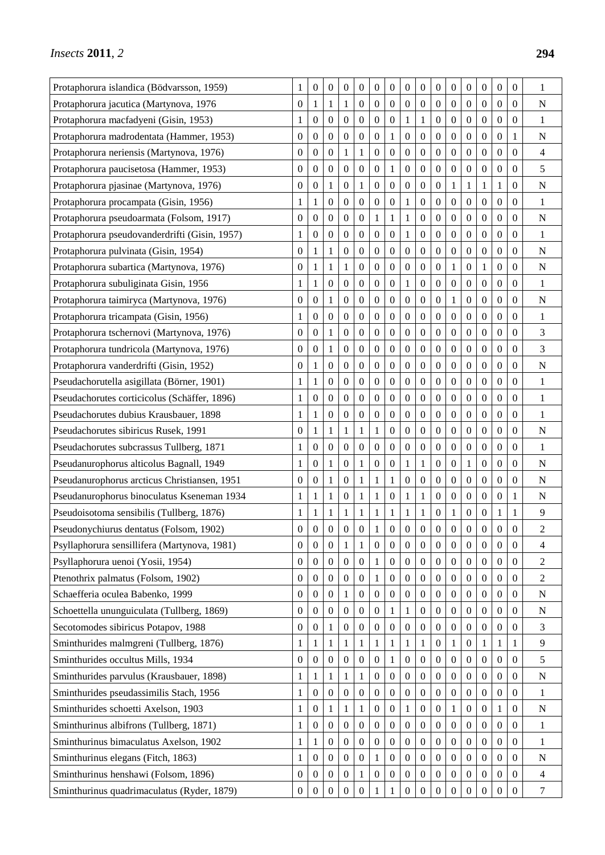| Protaphorura islandica (B ödvarsson, 1959)    | 1                | $\boldsymbol{0}$ | $\boldsymbol{0}$ | $\boldsymbol{0}$ | $\boldsymbol{0}$ | $\boldsymbol{0}$ | $\boldsymbol{0}$ | $\boldsymbol{0}$ | 0                | $\boldsymbol{0}$ | 0                | $\boldsymbol{0}$ | $\boldsymbol{0}$ | $\boldsymbol{0}$ | 0                | 1                |
|-----------------------------------------------|------------------|------------------|------------------|------------------|------------------|------------------|------------------|------------------|------------------|------------------|------------------|------------------|------------------|------------------|------------------|------------------|
| Protaphorura jacutica (Martynova, 1976        | $\mathbf{0}$     | 1                | 1                | 1                | $\boldsymbol{0}$ | $\overline{0}$   | $\overline{0}$   | $\overline{0}$   | $\overline{0}$   | $\overline{0}$   | 0                | $\overline{0}$   | $\boldsymbol{0}$ | $\boldsymbol{0}$ | 0                | N                |
| Protaphorura macfadyeni (Gisin, 1953)         | 1                | $\boldsymbol{0}$ | $\boldsymbol{0}$ | $\mathbf{0}$     | $\boldsymbol{0}$ | $\boldsymbol{0}$ | $\boldsymbol{0}$ | 1                | $\mathbf{1}$     | $\boldsymbol{0}$ | 0                | $\boldsymbol{0}$ | $\boldsymbol{0}$ | $\boldsymbol{0}$ | $\theta$         | $\mathbf{1}$     |
| Protaphorura madrodentata (Hammer, 1953)      | $\mathbf{0}$     | $\boldsymbol{0}$ | $\boldsymbol{0}$ | $\boldsymbol{0}$ | $\boldsymbol{0}$ | $\boldsymbol{0}$ | 1                | $\boldsymbol{0}$ | $\boldsymbol{0}$ | $\boldsymbol{0}$ | $\boldsymbol{0}$ | $\boldsymbol{0}$ | $\boldsymbol{0}$ | $\boldsymbol{0}$ | 1                | N                |
| Protaphorura neriensis (Martynova, 1976)      | 0                | $\boldsymbol{0}$ | 0                | 1                | 1                | $\boldsymbol{0}$ | $\boldsymbol{0}$ | $\boldsymbol{0}$ | $\boldsymbol{0}$ | $\boldsymbol{0}$ | 0                | $\boldsymbol{0}$ | $\boldsymbol{0}$ | $\boldsymbol{0}$ | 0                | 4                |
| Protaphorura paucisetosa (Hammer, 1953)       | $\mathbf{0}$     | $\boldsymbol{0}$ | $\boldsymbol{0}$ | $\mathbf{0}$     | $\boldsymbol{0}$ | $\boldsymbol{0}$ | 1                | $\boldsymbol{0}$ | $\boldsymbol{0}$ | $\mathbf{0}$     | $\boldsymbol{0}$ | $\boldsymbol{0}$ | $\boldsymbol{0}$ | $\boldsymbol{0}$ | 0                | 5                |
| Protaphorura pjasinae (Martynova, 1976)       | 0                | $\boldsymbol{0}$ | $\mathbf{1}$     | $\boldsymbol{0}$ | $\mathbf{1}$     | $\boldsymbol{0}$ | $\boldsymbol{0}$ | $\boldsymbol{0}$ | $\boldsymbol{0}$ | $\boldsymbol{0}$ | $\mathbf{1}$     | $\mathbf{1}$     | $\mathbf{1}$     | $\mathbf{1}$     | $\boldsymbol{0}$ | $\mathbf N$      |
| Protaphorura procampata (Gisin, 1956)         | 1                | 1                | 0                | $\boldsymbol{0}$ | $\boldsymbol{0}$ | $\boldsymbol{0}$ | $\boldsymbol{0}$ | 1                | 0                | $\boldsymbol{0}$ | 0                | $\boldsymbol{0}$ | $\boldsymbol{0}$ | $\boldsymbol{0}$ | 0                | 1                |
| Protaphorura pseudoarmata (Folsom, 1917)      | 0                | $\boldsymbol{0}$ | $\boldsymbol{0}$ | $\boldsymbol{0}$ | $\boldsymbol{0}$ | 1                | 1                | 1                | 0                | $\boldsymbol{0}$ | 0                | $\boldsymbol{0}$ | $\boldsymbol{0}$ | $\boldsymbol{0}$ | 0                | N                |
| Protaphorura pseudovanderdrifti (Gisin, 1957) | 1                | $\boldsymbol{0}$ | $\boldsymbol{0}$ | $\mathbf{0}$     | $\mathbf{0}$     | $\boldsymbol{0}$ | $\boldsymbol{0}$ | 1                | $\boldsymbol{0}$ | $\mathbf{0}$     | $\boldsymbol{0}$ | $\boldsymbol{0}$ | $\boldsymbol{0}$ | $\boldsymbol{0}$ | $\boldsymbol{0}$ | 1                |
| Protaphorura pulvinata (Gisin, 1954)          | $\boldsymbol{0}$ |                  | 1                | 0                | $\boldsymbol{0}$ | $\boldsymbol{0}$ | $\boldsymbol{0}$ | $\boldsymbol{0}$ | 0                | $\boldsymbol{0}$ | 0                | $\boldsymbol{0}$ | $\boldsymbol{0}$ | $\boldsymbol{0}$ | 0                | $\mathbf N$      |
| Protaphorura subartica (Martynova, 1976)      | $\boldsymbol{0}$ | 1                | 1                | 1                | $\boldsymbol{0}$ | $\boldsymbol{0}$ | $\boldsymbol{0}$ | $\boldsymbol{0}$ | 0                | $\boldsymbol{0}$ | 1                | $\mathbf{0}$     | 1                | $\boldsymbol{0}$ | 0                | N                |
| Protaphorura subuliginata Gisin, 1956         | 1                | 1                | $\mathbf{0}$     | $\boldsymbol{0}$ | $\boldsymbol{0}$ | $\boldsymbol{0}$ | $\boldsymbol{0}$ | 1                | 0                | $\boldsymbol{0}$ | 0                | $\boldsymbol{0}$ | $\boldsymbol{0}$ | $\boldsymbol{0}$ | 0                | 1                |
| Protaphorura taimiryca (Martynova, 1976)      | $\mathbf{0}$     | $\boldsymbol{0}$ | 1                | $\boldsymbol{0}$ | $\boldsymbol{0}$ | $\boldsymbol{0}$ | $\boldsymbol{0}$ | $\boldsymbol{0}$ | 0                | $\boldsymbol{0}$ | 1                | $\boldsymbol{0}$ | $\boldsymbol{0}$ | $\boldsymbol{0}$ | 0                | $\mathbf N$      |
| Protaphorura tricampata (Gisin, 1956)         | 1                | $\boldsymbol{0}$ | 0                | $\boldsymbol{0}$ | $\boldsymbol{0}$ | $\boldsymbol{0}$ | $\boldsymbol{0}$ | $\boldsymbol{0}$ | 0                | $\boldsymbol{0}$ | 0                | $\mathbf{0}$     | $\boldsymbol{0}$ | $\boldsymbol{0}$ | 0                | $\mathbf{1}$     |
| Protaphorura tschernovi (Martynova, 1976)     | 0                | $\boldsymbol{0}$ | 1                | $\mathbf{0}$     | $\boldsymbol{0}$ | $\boldsymbol{0}$ | $\boldsymbol{0}$ | $\boldsymbol{0}$ | $\boldsymbol{0}$ | $\boldsymbol{0}$ | 0                | $\boldsymbol{0}$ | $\boldsymbol{0}$ | $\boldsymbol{0}$ | 0                | 3                |
| Protaphorura tundricola (Martynova, 1976)     | 0                | $\boldsymbol{0}$ | 1                | $\boldsymbol{0}$ | $\boldsymbol{0}$ | $\boldsymbol{0}$ | $\boldsymbol{0}$ | $\boldsymbol{0}$ | $\boldsymbol{0}$ | $\boldsymbol{0}$ | $\boldsymbol{0}$ | $\boldsymbol{0}$ | $\boldsymbol{0}$ | $\boldsymbol{0}$ | 0                | 3                |
| Protaphorura vanderdrifti (Gisin, 1952)       | $\boldsymbol{0}$ | 1                | 0                | $\boldsymbol{0}$ | $\boldsymbol{0}$ | $\overline{0}$   | $\boldsymbol{0}$ | $\boldsymbol{0}$ | 0                | $\mathbf{0}$     | 0                | $\boldsymbol{0}$ | $\boldsymbol{0}$ | $\boldsymbol{0}$ | 0                | $\mathbf N$      |
| Pseudachorutella asigillata (B örner, 1901)   | 1                | 1                | $\boldsymbol{0}$ | $\boldsymbol{0}$ | $\boldsymbol{0}$ | $\boldsymbol{0}$ | $\boldsymbol{0}$ | $\boldsymbol{0}$ | $\boldsymbol{0}$ | $\boldsymbol{0}$ | 0                | $\boldsymbol{0}$ | $\boldsymbol{0}$ | $\boldsymbol{0}$ | 0                | $\mathbf{1}$     |
| Pseudachorutes corticicolus (Schäffer, 1896)  | 1                | $\boldsymbol{0}$ | $\boldsymbol{0}$ | $\boldsymbol{0}$ | $\boldsymbol{0}$ | $\boldsymbol{0}$ | $\boldsymbol{0}$ | $\boldsymbol{0}$ | 0                | $\boldsymbol{0}$ | $\boldsymbol{0}$ | $\boldsymbol{0}$ | $\boldsymbol{0}$ | $\boldsymbol{0}$ | 0                | $\mathbf{1}$     |
| Pseudachorutes dubius Krausbauer, 1898        | 1                | 1                | 0                | $\boldsymbol{0}$ | $\boldsymbol{0}$ | $\boldsymbol{0}$ | 0                | $\boldsymbol{0}$ | 0                | $\boldsymbol{0}$ | 0                | $\boldsymbol{0}$ | $\boldsymbol{0}$ | $\mathbf{0}$     | 0                | 1                |
| Pseudachorutes sibiricus Rusek, 1991          | $\boldsymbol{0}$ | 1                | 1                | $\mathbf{1}$     | $\mathbf{1}$     | $\mathbf{1}$     | $\boldsymbol{0}$ | $\boldsymbol{0}$ | $\boldsymbol{0}$ | $\boldsymbol{0}$ | 0                | $\boldsymbol{0}$ | $\boldsymbol{0}$ | $\boldsymbol{0}$ | 0                | $\mathbf N$      |
| Pseudachorutes subcrassus Tullberg, 1871      | 1                | $\boldsymbol{0}$ | $\boldsymbol{0}$ | $\boldsymbol{0}$ | $\boldsymbol{0}$ | $\boldsymbol{0}$ | $\boldsymbol{0}$ | $\boldsymbol{0}$ | $\boldsymbol{0}$ | $\boldsymbol{0}$ | $\boldsymbol{0}$ | $\boldsymbol{0}$ | $\boldsymbol{0}$ | $\boldsymbol{0}$ | 0                | $\mathbf{1}$     |
| Pseudanurophorus alticolus Bagnall, 1949      | 1                | $\boldsymbol{0}$ | 1                | $\boldsymbol{0}$ | $\mathbf{1}$     | $\boldsymbol{0}$ | 0                | 1                | 1                | $\boldsymbol{0}$ | 0                | 1                | $\boldsymbol{0}$ | $\boldsymbol{0}$ | 0                | $\mathbf N$      |
| Pseudanurophorus arcticus Christiansen, 1951  | $\mathbf{0}$     | $\boldsymbol{0}$ | 1                | $\mathbf{0}$     | $\mathbf{1}$     | $\mathbf{1}$     | 1                | $\boldsymbol{0}$ | $\boldsymbol{0}$ | $\boldsymbol{0}$ | 0                | $\boldsymbol{0}$ | $\boldsymbol{0}$ | $\boldsymbol{0}$ | 0                | $\mathbf N$      |
| Pseudanurophorus binoculatus Kseneman 1934    | 1                | 1                | $\mathbf{1}$     | $\boldsymbol{0}$ | $\mathbf{1}$     | $\mathbf{1}$     | $\boldsymbol{0}$ | $\mathbf{1}$     | $\mathbf{1}$     | $\boldsymbol{0}$ | $\boldsymbol{0}$ | $\boldsymbol{0}$ | $\boldsymbol{0}$ | $\boldsymbol{0}$ | 1                | $\mathbf N$      |
| Pseudoisotoma sensibilis (Tullberg, 1876)     | 1                | 1                | 1                | 1                | $\mathbf{1}$     | 1                | 1                | 1                | 1                | $\boldsymbol{0}$ | 1                | $\boldsymbol{0}$ | $\boldsymbol{0}$ | 1                | 1                | 9                |
| Pseudonychiurus dentatus (Folsom, 1902)       | $\overline{0}$   | $\boldsymbol{0}$ | $\overline{0}$   | $\boldsymbol{0}$ | $\mathbf{0}$     | 1                | $\boldsymbol{0}$ | $\boldsymbol{0}$ | 0                | $\boldsymbol{0}$ | 0                | $\boldsymbol{0}$ | $\boldsymbol{0}$ | $\theta$         | $\theta$         | $\overline{2}$   |
| Psyllaphorura sensillifera (Martynova, 1981)  | $\boldsymbol{0}$ | $\boldsymbol{0}$ | $\boldsymbol{0}$ | $\mathbf{1}$     | $\mathbf{1}$     | $\boldsymbol{0}$ | $\boldsymbol{0}$ | $\boldsymbol{0}$ | $\boldsymbol{0}$ | $\boldsymbol{0}$ | $\boldsymbol{0}$ | $\mathbf{0}$     | $\boldsymbol{0}$ | $\mathbf{0}$     | $\mathbf{0}$     | 4                |
| Psyllaphorura uenoi (Yosii, 1954)             | $\boldsymbol{0}$ | $\theta$         | $\boldsymbol{0}$ | $\boldsymbol{0}$ | $\boldsymbol{0}$ |                  | $\boldsymbol{0}$ | $\boldsymbol{0}$ | $\boldsymbol{0}$ | $\boldsymbol{0}$ | $\boldsymbol{0}$ | $\boldsymbol{0}$ | $\boldsymbol{0}$ | $\boldsymbol{0}$ | $\boldsymbol{0}$ | 2                |
| Ptenothrix palmatus (Folsom, 1902)            | $\boldsymbol{0}$ | $\boldsymbol{0}$ | $\boldsymbol{0}$ | $\boldsymbol{0}$ | $\boldsymbol{0}$ | 1                | $\boldsymbol{0}$ | $\boldsymbol{0}$ | $\boldsymbol{0}$ | $\boldsymbol{0}$ | 0                | $\boldsymbol{0}$ | $\boldsymbol{0}$ | $\boldsymbol{0}$ | $\boldsymbol{0}$ | 2                |
| Schaefferia oculea Babenko, 1999              | $\boldsymbol{0}$ | $\boldsymbol{0}$ | $\boldsymbol{0}$ | $\mathbf{1}$     | $\mathbf{0}$     | $\boldsymbol{0}$ | $\boldsymbol{0}$ | $\boldsymbol{0}$ | $\boldsymbol{0}$ | $\boldsymbol{0}$ | $\boldsymbol{0}$ | $\boldsymbol{0}$ | $\boldsymbol{0}$ | $\mathbf{0}$     | $\theta$         | N                |
| Schoettella ununguiculata (Tullberg, 1869)    | $\boldsymbol{0}$ | $\theta$         | $\boldsymbol{0}$ | $\mathbf{0}$     | $\boldsymbol{0}$ | $\overline{0}$   | 1                | 1                | $\boldsymbol{0}$ | $\boldsymbol{0}$ | $\boldsymbol{0}$ | $\boldsymbol{0}$ | $\boldsymbol{0}$ | $\boldsymbol{0}$ | 0                | $\mathbf N$      |
| Secotomodes sibiricus Potapov, 1988           | $\boldsymbol{0}$ | $\boldsymbol{0}$ | $\mathbf{1}$     | $\boldsymbol{0}$ | $\boldsymbol{0}$ | $\boldsymbol{0}$ | $\boldsymbol{0}$ | $\boldsymbol{0}$ | $\boldsymbol{0}$ | $\boldsymbol{0}$ | 0                | $\boldsymbol{0}$ | $\boldsymbol{0}$ | $\boldsymbol{0}$ | 0                | 3                |
| Sminthurides malmgreni (Tullberg, 1876)       | 1                | 1                | $\mathbf{1}$     | 1                | $\mathbf{1}$     | 1                | 1                | 1                | $\mathbf{1}$     | $\boldsymbol{0}$ | 1                | $\boldsymbol{0}$ | $\mathbf{1}$     | $\mathbf{1}$     | 1                | 9                |
| Sminthurides occultus Mills, 1934             | $\boldsymbol{0}$ | $\boldsymbol{0}$ | $\boldsymbol{0}$ | $\boldsymbol{0}$ | $\boldsymbol{0}$ | $\boldsymbol{0}$ | 1                | $\boldsymbol{0}$ | $\boldsymbol{0}$ | $\boldsymbol{0}$ | $\boldsymbol{0}$ | $\boldsymbol{0}$ | $\boldsymbol{0}$ | $\boldsymbol{0}$ | $\boldsymbol{0}$ | 5                |
| Sminthurides parvulus (Krausbauer, 1898)      | $\mathbf{1}$     | 1                | 1                | 1                | 1                | $\boldsymbol{0}$ | $\boldsymbol{0}$ | $\boldsymbol{0}$ | $\overline{0}$   | $\mathbf{0}$     | 0                | $\boldsymbol{0}$ | $\boldsymbol{0}$ | $\mathbf{0}$     | 0                | ${\bf N}$        |
| Sminthurides pseudassimilis Stach, 1956       | $\mathbf{1}$     | $\boldsymbol{0}$ | $\boldsymbol{0}$ | $\boldsymbol{0}$ | $\mathbf{0}$     | $\boldsymbol{0}$ | $\boldsymbol{0}$ | $\boldsymbol{0}$ | $\boldsymbol{0}$ | $\boldsymbol{0}$ | $\boldsymbol{0}$ | $\boldsymbol{0}$ | $\boldsymbol{0}$ | $\mathbf{0}$     | $\theta$         | 1                |
| Sminthurides schoetti Axelson, 1903           | 1                | $\boldsymbol{0}$ | $\mathbf{1}$     | $\mathbf{1}$     | $\mathbf{1}$     | $\boldsymbol{0}$ | $\boldsymbol{0}$ | 1                | $\boldsymbol{0}$ | $\boldsymbol{0}$ | 1                | $\boldsymbol{0}$ | $\boldsymbol{0}$ | 1                | 0                | $\mathbf N$      |
| Sminthurinus albifrons (Tullberg, 1871)       | 1                | $\theta$         | $\boldsymbol{0}$ | $\boldsymbol{0}$ | $\boldsymbol{0}$ | $\boldsymbol{0}$ | $\boldsymbol{0}$ | $\boldsymbol{0}$ | $\overline{0}$   | $\boldsymbol{0}$ | $\boldsymbol{0}$ | $\overline{0}$   | $\boldsymbol{0}$ | $\mathbf{0}$     | 0                | 1                |
| Sminthurinus bimaculatus Axelson, 1902        | $\mathbf{1}$     | 1                | $\boldsymbol{0}$ | $\mathbf{0}$     | $\mathbf{0}$     | $\mathbf{0}$     | $\boldsymbol{0}$ | $\boldsymbol{0}$ | $\overline{0}$   | $\overline{0}$   | $\boldsymbol{0}$ | $\boldsymbol{0}$ | $\overline{0}$   | $\mathbf{0}$     | $\theta$         | $\mathbf{1}$     |
| Sminthurinus elegans (Fitch, 1863)            | 1                | $\boldsymbol{0}$ | $\boldsymbol{0}$ | $\boldsymbol{0}$ | $\boldsymbol{0}$ | 1                | $\boldsymbol{0}$ | $\boldsymbol{0}$ | $\boldsymbol{0}$ | $\boldsymbol{0}$ | $\boldsymbol{0}$ | $\boldsymbol{0}$ | $\boldsymbol{0}$ | $\boldsymbol{0}$ | $\boldsymbol{0}$ | ${\bf N}$        |
| Sminthurinus henshawi (Folsom, 1896)          | $\boldsymbol{0}$ | $\theta$         | $\overline{0}$   | $\boldsymbol{0}$ | 1                | $\boldsymbol{0}$ | $\boldsymbol{0}$ | $\boldsymbol{0}$ | $\boldsymbol{0}$ | $\boldsymbol{0}$ | $\boldsymbol{0}$ | $\mathbf{0}$     | $\boldsymbol{0}$ | $\boldsymbol{0}$ | 0                | $\overline{4}$   |
| Sminthurinus quadrimaculatus (Ryder, 1879)    | $\boldsymbol{0}$ | $\boldsymbol{0}$ | $\boldsymbol{0}$ | $\mathbf{0}$     | $\boldsymbol{0}$ |                  | 1                | $\boldsymbol{0}$ | $\boldsymbol{0}$ | $\boldsymbol{0}$ | $\boldsymbol{0}$ | $\mathbf{0}$     | $\boldsymbol{0}$ | $\boldsymbol{0}$ | $\boldsymbol{0}$ | $\boldsymbol{7}$ |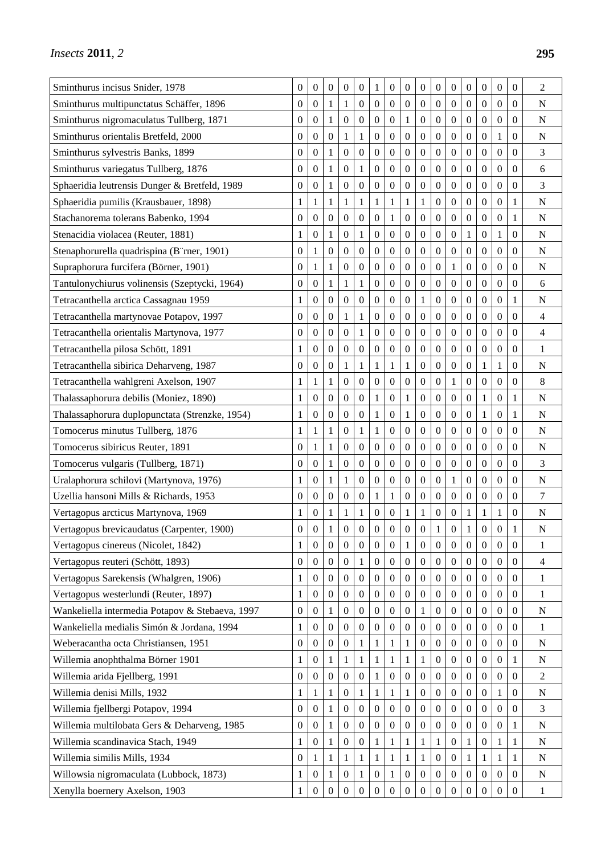| Sminthurus incisus Snider, 1978                 | 0                | $\boldsymbol{0}$ | $\boldsymbol{0}$ | $\boldsymbol{0}$ | $\boldsymbol{0}$ | $\mathbf{1}$     | $\boldsymbol{0}$ | $\boldsymbol{0}$ | $\boldsymbol{0}$ | $\boldsymbol{0}$ | $\boldsymbol{0}$ | $\boldsymbol{0}$ | $\boldsymbol{0}$ | $\boldsymbol{0}$ | $\boldsymbol{0}$ | 2              |
|-------------------------------------------------|------------------|------------------|------------------|------------------|------------------|------------------|------------------|------------------|------------------|------------------|------------------|------------------|------------------|------------------|------------------|----------------|
| Sminthurus multipunctatus Schäffer, 1896        | 0                | $\boldsymbol{0}$ | 1                | 1                | $\boldsymbol{0}$ | $\mathbf{0}$     | 0                | 0                | 0                | $\boldsymbol{0}$ | $\mathbf{0}$     | 0                | $\boldsymbol{0}$ | $\boldsymbol{0}$ | $\boldsymbol{0}$ | N              |
| Sminthurus nigromaculatus Tullberg, 1871        | 0                | $\boldsymbol{0}$ | $\mathbf{1}$     | $\mathbf{0}$     | $\boldsymbol{0}$ | $\boldsymbol{0}$ | $\boldsymbol{0}$ | 1                | $\boldsymbol{0}$ | $\boldsymbol{0}$ | $\boldsymbol{0}$ | $\boldsymbol{0}$ | $\boldsymbol{0}$ | $\boldsymbol{0}$ | $\mathbf{0}$     | $\mathbf N$    |
| Sminthurus orientalis Bretfeld, 2000            | 0                | $\boldsymbol{0}$ | $\boldsymbol{0}$ | $\mathbf{1}$     | $\,1$            | $\boldsymbol{0}$ | $\boldsymbol{0}$ | $\boldsymbol{0}$ | $\boldsymbol{0}$ | $\overline{0}$   | $\boldsymbol{0}$ | $\boldsymbol{0}$ | $\boldsymbol{0}$ | $\mathbf{1}$     | $\theta$         | $\overline{N}$ |
| Sminthurus sylvestris Banks, 1899               | 0                | $\boldsymbol{0}$ | 1                | $\boldsymbol{0}$ | $\boldsymbol{0}$ | $\boldsymbol{0}$ | $\boldsymbol{0}$ | 0                | $\boldsymbol{0}$ | $\boldsymbol{0}$ | $\boldsymbol{0}$ | 0                | $\boldsymbol{0}$ | 0                | $\boldsymbol{0}$ | 3              |
| Sminthurus variegatus Tullberg, 1876            | 0                | $\boldsymbol{0}$ | 1                | $\boldsymbol{0}$ | $\mathbf{1}$     | $\boldsymbol{0}$ | $\boldsymbol{0}$ | $\boldsymbol{0}$ | 0                | $\boldsymbol{0}$ | $\boldsymbol{0}$ | $\boldsymbol{0}$ | $\boldsymbol{0}$ | $\boldsymbol{0}$ | $\boldsymbol{0}$ | 6              |
| Sphaeridia leutrensis Dunger & Bretfeld, 1989   | $\mathbf{0}$     | $\boldsymbol{0}$ | 1                | $\mathbf{0}$     | $\mathbf{0}$     | $\boldsymbol{0}$ | $\boldsymbol{0}$ | $\boldsymbol{0}$ | $\boldsymbol{0}$ | $\boldsymbol{0}$ | $\boldsymbol{0}$ | $\boldsymbol{0}$ | $\boldsymbol{0}$ | $\boldsymbol{0}$ | $\overline{0}$   | 3              |
| Sphaeridia pumilis (Krausbauer, 1898)           | 1                | 1                | 1                | 1                | $\mathbf{1}$     | $\mathbf{1}$     | 1                | $\mathbf{1}$     | $\mathbf{1}$     | $\boldsymbol{0}$ | 0                | 0                | $\boldsymbol{0}$ | $\boldsymbol{0}$ | 1                | ${\bf N}$      |
| Stachanorema tolerans Babenko, 1994             | 0                | $\boldsymbol{0}$ | $\boldsymbol{0}$ | $\boldsymbol{0}$ | $\boldsymbol{0}$ | $\boldsymbol{0}$ | 1                | 0                | 0                | $\boldsymbol{0}$ | $\boldsymbol{0}$ | 0                | 0                | 0                | 1                | N              |
| Stenacidia violacea (Reuter, 1881)              | 1                | $\boldsymbol{0}$ | 1                | $\mathbf{0}$     | $\mathbf{1}$     | $\boldsymbol{0}$ | $\boldsymbol{0}$ | 0                | 0                | $\boldsymbol{0}$ | $\boldsymbol{0}$ | $\mathbf{1}$     | $\boldsymbol{0}$ | 1                | $\theta$         | N              |
| Stenaphorurella quadrispina (B 'rner, 1901)     | 0                | 1                | $\boldsymbol{0}$ | $\boldsymbol{0}$ | $\boldsymbol{0}$ | $\boldsymbol{0}$ | $\boldsymbol{0}$ | $\boldsymbol{0}$ | 0                | $\boldsymbol{0}$ | $\boldsymbol{0}$ | 0                | $\boldsymbol{0}$ | $\boldsymbol{0}$ | $\boldsymbol{0}$ | ${\bf N}$      |
| Supraphorura furcifera (B örner, 1901)          | $\mathbf{0}$     | 1                | 1                | $\boldsymbol{0}$ | $\boldsymbol{0}$ | $\boldsymbol{0}$ | $\boldsymbol{0}$ | 0                | 0                | $\boldsymbol{0}$ | 1                | 0                | $\boldsymbol{0}$ | 0                | $\boldsymbol{0}$ | $\mathbf N$    |
| Tantulonychiurus volinensis (Szeptycki, 1964)   | 0                | $\boldsymbol{0}$ | $\mathbf 1$      | $\mathbf{1}$     | $\mathbf{1}$     | $\boldsymbol{0}$ | $\boldsymbol{0}$ | $\boldsymbol{0}$ | $\boldsymbol{0}$ | $\boldsymbol{0}$ | $\boldsymbol{0}$ | $\boldsymbol{0}$ | $\boldsymbol{0}$ | $\boldsymbol{0}$ | $\mathbf{0}$     | 6              |
| Tetracanthella arctica Cassagnau 1959           | 1                | $\boldsymbol{0}$ | $\boldsymbol{0}$ | $\boldsymbol{0}$ | $\boldsymbol{0}$ | $\boldsymbol{0}$ | $\boldsymbol{0}$ | $\boldsymbol{0}$ | 1                | $\boldsymbol{0}$ | $\boldsymbol{0}$ | $\boldsymbol{0}$ | $\boldsymbol{0}$ | $\boldsymbol{0}$ | 1                | N              |
| Tetracanthella martynovae Potapov, 1997         | 0                | $\boldsymbol{0}$ | $\mathbf{0}$     | 1                | $\mathbf{1}$     | $\mathbf{0}$     | $\boldsymbol{0}$ | 0                | $\boldsymbol{0}$ | $\boldsymbol{0}$ | $\boldsymbol{0}$ | 0                | $\boldsymbol{0}$ | 0                | $\theta$         | 4              |
| Tetracanthella orientalis Martynova, 1977       | $\boldsymbol{0}$ | $\boldsymbol{0}$ | $\boldsymbol{0}$ | $\boldsymbol{0}$ | $\mathbf{1}$     | $\boldsymbol{0}$ | $\boldsymbol{0}$ | $\boldsymbol{0}$ | $\boldsymbol{0}$ | $\boldsymbol{0}$ | $\boldsymbol{0}$ | $\boldsymbol{0}$ | $\boldsymbol{0}$ | $\boldsymbol{0}$ | $\boldsymbol{0}$ | 4              |
| Tetracanthella pilosa Schött, 1891              | 1                | $\boldsymbol{0}$ | $\boldsymbol{0}$ | $\boldsymbol{0}$ | $\boldsymbol{0}$ | $\boldsymbol{0}$ | $\boldsymbol{0}$ | $\boldsymbol{0}$ | 0                | $\boldsymbol{0}$ | $\boldsymbol{0}$ | $\boldsymbol{0}$ | $\boldsymbol{0}$ | $\boldsymbol{0}$ | $\boldsymbol{0}$ | 1              |
| Tetracanthella sibirica Deharveng, 1987         | 0                | $\boldsymbol{0}$ | $\mathbf{0}$     | 1                | 1                | 1                | 1                | 1                | $\boldsymbol{0}$ | $\overline{0}$   | $\boldsymbol{0}$ | 0                | 1                | 1                | $\theta$         | N              |
| Tetracanthella wahlgreni Axelson, 1907          | 1                | 1                | 1                | $\mathbf{0}$     | $\boldsymbol{0}$ | $\boldsymbol{0}$ | $\overline{0}$   | $\boldsymbol{0}$ | $\boldsymbol{0}$ | $\boldsymbol{0}$ | 1                | $\boldsymbol{0}$ | $\boldsymbol{0}$ | $\boldsymbol{0}$ | $\overline{0}$   | 8              |
| Thalassaphorura debilis (Moniez, 1890)          | 1                | $\boldsymbol{0}$ | $\boldsymbol{0}$ | $\boldsymbol{0}$ | $\boldsymbol{0}$ | $\mathbf{1}$     | $\boldsymbol{0}$ | $\mathbf{1}$     | $\boldsymbol{0}$ | $\boldsymbol{0}$ | $\boldsymbol{0}$ | $\boldsymbol{0}$ | $\mathbf{1}$     | $\boldsymbol{0}$ | 1                | $\mathbf N$    |
| Thalassaphorura duplopunctata (Strenzke, 1954)  | 1                | $\boldsymbol{0}$ | 0                | $\boldsymbol{0}$ | $\boldsymbol{0}$ | 1                | $\boldsymbol{0}$ | 1                | 0                | $\boldsymbol{0}$ | $\boldsymbol{0}$ | 0                | 1                | $\boldsymbol{0}$ | 1                | N              |
| Tomocerus minutus Tullberg, 1876                | 1                | 1                | $\mathbf 1$      | $\mathbf{0}$     | $\mathbf{1}$     | $\mathbf{1}$     | $\boldsymbol{0}$ | $\boldsymbol{0}$ | $\boldsymbol{0}$ | $\boldsymbol{0}$ | $\boldsymbol{0}$ | $\boldsymbol{0}$ | $\boldsymbol{0}$ | $\boldsymbol{0}$ | $\mathbf{0}$     | $\mathbf N$    |
| Tomocerus sibiricus Reuter, 1891                | $\overline{0}$   | 1                | $\mathbf{1}$     | $\boldsymbol{0}$ | $\boldsymbol{0}$ | $\boldsymbol{0}$ | $\boldsymbol{0}$ | $\boldsymbol{0}$ | $\boldsymbol{0}$ | $\boldsymbol{0}$ | $\boldsymbol{0}$ | $\boldsymbol{0}$ | $\boldsymbol{0}$ | $\boldsymbol{0}$ | $\overline{0}$   | $\mathbf N$    |
| Tomocerus vulgaris (Tullberg, 1871)             | 0                | $\boldsymbol{0}$ | 1                | $\boldsymbol{0}$ | $\boldsymbol{0}$ | $\boldsymbol{0}$ | $\boldsymbol{0}$ | $\boldsymbol{0}$ | 0                | $\boldsymbol{0}$ | $\boldsymbol{0}$ | 0                | $\boldsymbol{0}$ | $\boldsymbol{0}$ | $\boldsymbol{0}$ | 3              |
| Uralaphorura schilovi (Martynova, 1976)         | 1                | $\boldsymbol{0}$ | 1                | 1                | $\boldsymbol{0}$ | $\boldsymbol{0}$ | 0                | 0                | $\boldsymbol{0}$ | $\boldsymbol{0}$ | 1                | 0                | $\boldsymbol{0}$ | $\boldsymbol{0}$ | $\boldsymbol{0}$ | N              |
| Uzellia hansoni Mills & Richards, 1953          | 0                | $\mathbf{0}$     | $\boldsymbol{0}$ | $\mathbf{0}$     | $\boldsymbol{0}$ | $\mathbf{1}$     | 1                | $\boldsymbol{0}$ | $\boldsymbol{0}$ | $\boldsymbol{0}$ | $\boldsymbol{0}$ | $\boldsymbol{0}$ | $\boldsymbol{0}$ | $\theta$         | $\overline{0}$   | 7              |
| Vertagopus arcticus Martynova, 1969             | 1                | $\boldsymbol{0}$ | 1                | $\mathbf 1$      | $\mathbf{1}$     | $\boldsymbol{0}$ | 0                | 1                | $\mathbf{1}$     | $\boldsymbol{0}$ | $\boldsymbol{0}$ | 1                | 1                | $\mathbf{1}$     | $\boldsymbol{0}$ | ${\bf N}$      |
| Vertagopus brevicaudatus (Carpenter, 1900)      | $\overline{0}$   | $\mathbf{0}$     | 1                | $\theta$         | $\theta$         | $\mathbf{0}$     | $\theta$         | $\overline{0}$   | $\overline{0}$   | 1                | $\mathbf{0}$     | 1                | $\theta$         | $\theta$         | 1                | N              |
| Vertagopus cinereus (Nicolet, 1842)             | $\mathbf{1}$     | $\boldsymbol{0}$ | $\boldsymbol{0}$ | $\boldsymbol{0}$ | $\mathbf{0}$     | $\boldsymbol{0}$ | $\boldsymbol{0}$ | $\mathbf{1}$     | $\boldsymbol{0}$ | $\boldsymbol{0}$ | $\boldsymbol{0}$ | $\boldsymbol{0}$ | $\boldsymbol{0}$ | $\boldsymbol{0}$ | $\mathbf{0}$     | 1              |
| Vertagopus reuteri (Schött, 1893)               | $\boldsymbol{0}$ | $\theta$         | $\boldsymbol{0}$ | $\boldsymbol{0}$ | 1                | $\mathbf{0}$     | $\boldsymbol{0}$ | $\boldsymbol{0}$ | $\mathbf{0}$     | $\boldsymbol{0}$ | $\boldsymbol{0}$ | $\boldsymbol{0}$ | $\mathbf{0}$     | $\boldsymbol{0}$ | $\mathbf{0}$     | 4              |
| Vertagopus Sarekensis (Whalgren, 1906)          | $\mathbf{1}$     | $\boldsymbol{0}$ | $\boldsymbol{0}$ | $\boldsymbol{0}$ | $\boldsymbol{0}$ | $\boldsymbol{0}$ | $\boldsymbol{0}$ | $\boldsymbol{0}$ | $\boldsymbol{0}$ | $\boldsymbol{0}$ | $\boldsymbol{0}$ | $\overline{0}$   | $\mathbf{0}$     | $\theta$         | $\boldsymbol{0}$ | 1              |
| Vertagopus westerlundi (Reuter, 1897)           | 1                | $\boldsymbol{0}$ | $\boldsymbol{0}$ | $\boldsymbol{0}$ | $\boldsymbol{0}$ | $\mathbf{0}$     | $\boldsymbol{0}$ | $\boldsymbol{0}$ | $\boldsymbol{0}$ | $\boldsymbol{0}$ | $\boldsymbol{0}$ | $\boldsymbol{0}$ | $\boldsymbol{0}$ | $\boldsymbol{0}$ | $\mathbf{0}$     | 1              |
| Wankeliella intermedia Potapov & Stebaeva, 1997 | $\boldsymbol{0}$ | $\boldsymbol{0}$ | 1                | $\boldsymbol{0}$ | $\boldsymbol{0}$ | $\boldsymbol{0}$ | $\boldsymbol{0}$ | $\boldsymbol{0}$ | 1                | $\boldsymbol{0}$ | $\boldsymbol{0}$ | $\boldsymbol{0}$ | $\boldsymbol{0}$ | $\boldsymbol{0}$ | $\boldsymbol{0}$ | N              |
| Wankeliella medialis Simón & Jordana, 1994      | 1                | $\theta$         | $\boldsymbol{0}$ | $\boldsymbol{0}$ | $\boldsymbol{0}$ | $\mathbf{0}$     | $\theta$         | $\boldsymbol{0}$ | $\boldsymbol{0}$ | $\boldsymbol{0}$ | $\overline{0}$   | $\overline{0}$   | $\overline{0}$   | $\theta$         | $\theta$         | 1              |
| Weberacantha octa Christiansen, 1951            | $\boldsymbol{0}$ | $\boldsymbol{0}$ | $\boldsymbol{0}$ | $\boldsymbol{0}$ | $\mathbf{1}$     | $\mathbf{1}$     | 1                | 1                | $\boldsymbol{0}$ | $\boldsymbol{0}$ | $\boldsymbol{0}$ | $\boldsymbol{0}$ | $\boldsymbol{0}$ | $\boldsymbol{0}$ | $\mathbf{0}$     | ${\bf N}$      |
| Willemia anophthalma B örner 1901               | $\mathbf{1}$     | $\boldsymbol{0}$ | $\mathbf{1}$     | $\mathbf{1}$     | $\mathbf{1}$     | 1                | 1                | $\mathbf{1}$     | $\mathbf{1}$     | $\boldsymbol{0}$ | $\boldsymbol{0}$ | $\boldsymbol{0}$ | $\boldsymbol{0}$ | $\boldsymbol{0}$ | 1                | ${\bf N}$      |
| Willemia arida Fjellberg, 1991                  | $\boldsymbol{0}$ | $\theta$         | $\boldsymbol{0}$ | $\boldsymbol{0}$ | $\boldsymbol{0}$ | 1                | $\boldsymbol{0}$ | $\boldsymbol{0}$ | $\boldsymbol{0}$ | $\boldsymbol{0}$ | $\boldsymbol{0}$ | $\boldsymbol{0}$ | $\mathbf{0}$     | $\boldsymbol{0}$ | $\boldsymbol{0}$ | 2              |
| Willemia denisi Mills, 1932                     | $\mathbf{1}$     | 1                | 1                | $\mathbf{0}$     | 1                | 1                | 1                | 1                | $\boldsymbol{0}$ | $\mathbf{0}$     | $\boldsymbol{0}$ | $\boldsymbol{0}$ | $\mathbf{0}$     | 1                | $\mathbf{0}$     | ${\bf N}$      |
| Willemia fjellbergi Potapov, 1994               | $\boldsymbol{0}$ | $\boldsymbol{0}$ | $\mathbf{1}$     | $\boldsymbol{0}$ | $\boldsymbol{0}$ | $\boldsymbol{0}$ | $\boldsymbol{0}$ | $\boldsymbol{0}$ | $\boldsymbol{0}$ | $\boldsymbol{0}$ | $\boldsymbol{0}$ | $\boldsymbol{0}$ | $\boldsymbol{0}$ | $\boldsymbol{0}$ | $\boldsymbol{0}$ | 3              |
| Willemia multilobata Gers & Deharveng, 1985     | $\boldsymbol{0}$ | $\theta$         | 1                | $\boldsymbol{0}$ | $\boldsymbol{0}$ | $\overline{0}$   | 0                | $\boldsymbol{0}$ | $\boldsymbol{0}$ | $\boldsymbol{0}$ | $\boldsymbol{0}$ | $\boldsymbol{0}$ | $\overline{0}$   | $\boldsymbol{0}$ | 1                | $\mathbf N$    |
| Willemia scandinavica Stach, 1949               | $\mathbf{1}$     | $\mathbf{0}$     | $\mathbf{1}$     | $\boldsymbol{0}$ | $\mathbf{0}$     | 1                | 1                | 1                | $\mathbf{1}$     | $\mathbf{1}$     | $\boldsymbol{0}$ | 1                | $\mathbf{0}$     | 1                | 1                | ${\bf N}$      |
| Willemia similis Mills, 1934                    | $\boldsymbol{0}$ | 1                | $\mathbf{1}$     | $\mathbf{1}$     | $\,1$            | $\mathbf{1}$     | $\mathbf{1}$     | $\mathbf{1}$     | $\mathbf{1}$     | $\boldsymbol{0}$ | $\boldsymbol{0}$ | $\mathbf{1}$     | $\mathbf{1}$     | $\mathbf{1}$     | 1                | ${\bf N}$      |
| Willowsia nigromaculata (Lubbock, 1873)         | 1                | $\theta$         | 1                | $\boldsymbol{0}$ | 1                | $\overline{0}$   |                  | $\boldsymbol{0}$ | $\overline{0}$   | $\boldsymbol{0}$ | $\mathbf{0}$     | $\mathbf{0}$     | $\overline{0}$   | $\theta$         | $\theta$         | ${\bf N}$      |
| Xenylla boernery Axelson, 1903                  | $\mathbf{1}$     | $\theta$         | $\boldsymbol{0}$ | $\boldsymbol{0}$ | $\mathbf{0}$     | $\boldsymbol{0}$ | $\boldsymbol{0}$ | $\boldsymbol{0}$ | $\boldsymbol{0}$ | $\boldsymbol{0}$ | $\boldsymbol{0}$ | $\boldsymbol{0}$ | $\boldsymbol{0}$ | $\boldsymbol{0}$ | $\mathbf{0}$     | $\mathbf{1}$   |